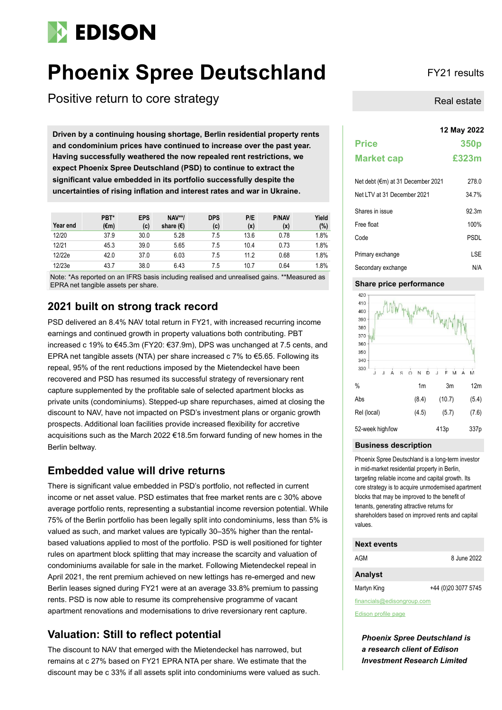# **EDISON**

# **Phoenix Spree Deutschland** FY21 results

Positive return to core strategy

**12 May 2022 Driven by a continuing housing shortage, Berlin residential property rents and condominium prices have continued to increase over the past year. Having successfully weathered the now repealed rent restrictions, we expect Phoenix Spree Deutschland (PSD) to continue to extract the significant value embedded in its portfolio successfully despite the uncertainties of rising inflation and interest rates and war in Ukraine.**

| Year end | PBT*<br>(€m) | EPS<br>(c) | <b>NAV**/</b><br>share $(\epsilon)$ | <b>DPS</b><br>(c) | P/E<br>(x) | <b>P/NAV</b><br>(x) | Yield<br>(%) |
|----------|--------------|------------|-------------------------------------|-------------------|------------|---------------------|--------------|
| 12/20    | 37.9         | 30.0       | 5.28                                | 7.5               | 13.6       | 0.78                | 1.8%         |
| 12/21    | 45.3         | 39.0       | 5.65                                | 7.5               | 10.4       | 0.73                | 1.8%         |
| 12/22e   | 42.0         | 37.0       | 6.03                                | 7.5               | 11.2       | 0.68                | 1.8%         |
| 12/23e   | 43.7         | 38.0       | 6.43                                | 7.5               | 10.7       | 0.64                | 1.8%         |

Note: \*As reported on an IFRS basis including realised and unrealised gains. \*\*Measured as EPRA net tangible assets per share.

### **2021 built on strong track record**

PSD delivered an 8.4% NAV total return in FY21, with increased recurring income earnings and continued growth in property valuations both contributing. PBT increased c 19% to €45.3m (FY20: €37.9m), DPS was unchanged at 7.5 cents, and EPRA net tangible assets (NTA) per share increased c 7% to €5.65. Following its repeal, 95% of the rent reductions imposed by the Mietendeckel have been recovered and PSD has resumed its successful strategy of reversionary rent capture supplemented by the profitable sale of selected apartment blocks as private units (condominiums). Stepped-up share repurchases, aimed at closing the discount to NAV, have not impacted on PSD's investment plans or organic growth prospects. Additional loan facilities provide increased flexibility for accretive acquisitions such as the March 2022 €18.5m forward funding of new homes in the Berlin beltway.

### **Embedded value will drive returns**

There is significant value embedded in PSD's portfolio, not reflected in current income or net asset value. PSD estimates that free market rents are c 30% above average portfolio rents, representing a substantial income reversion potential. While 75% of the Berlin portfolio has been legally split into condominiums, less than 5% is valued as such, and market values are typically 30–35% higher than the rentalbased valuations applied to most of the portfolio. PSD is well positioned for tighter rules on apartment block splitting that may increase the scarcity and valuation of condominiums available for sale in the market. Following Mietendeckel repeal in April 2021, the rent premium achieved on new lettings has re-emerged and new Berlin leases signed during FY21 were at an average 33.8% premium to passing rents. PSD is now able to resume its comprehensive programme of vacant apartment renovations and modernisations to drive reversionary rent capture.

### **Valuation: Still to reflect potential**

The discount to NAV that emerged with the Mietendeckel has narrowed, but remains at c 27% based on FY21 EPRA NTA per share. We estimate that the discount may be c 33% if all assets split into condominiums were valued as such.

Real estate

|                                   | 12 May 2022      |
|-----------------------------------|------------------|
| <b>Price</b>                      | 350 <sub>p</sub> |
| <b>Market cap</b>                 | £323m            |
| Net debt (€m) at 31 December 2021 | 278.0            |
| Net LTV at 31 December 2021       | 34.7%            |
| Shares in issue                   | 92.3m            |
| Free float                        | 100%             |
| Code                              | PSDL             |
| Primary exchange                  | LSE              |
| Secondary exchange                | N/A              |

### **Share price performance**



#### **Business description**

Phoenix Spree Deutschland is a long-term investor in mid-market residential property in Berlin, targeting reliable income and capital growth. Its core strategy is to acquire unmodernised apartment blocks that may be improved to the benefit of tenants, generating attractive returns for shareholders based on improved rents and capital values.

### **Next events**

| AGM         | 8 June 2022         |
|-------------|---------------------|
| Analyst     |                     |
| Martyn King | +44 (0)20 3077 5745 |

financials@edisongroup.com

[Edison profile page](https://www.edisongroup.com/company/phoenix-spree-deutschland/)

*Phoenix Spree Deutschland is a research client of Edison Investment Research Limited*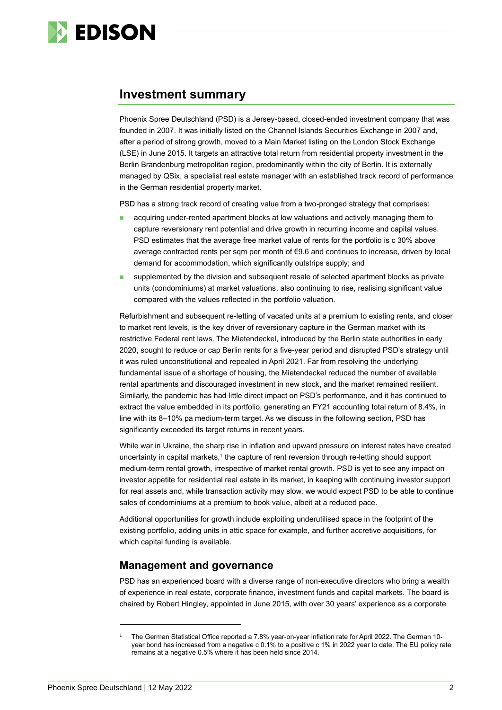

### **Investment summary**

Phoenix Spree Deutschland (PSD) is a Jersey-based, closed-ended investment company that was founded in 2007. It was initially listed on the Channel Islands Securities Exchange in 2007 and, after a period of strong growth, moved to a Main Market listing on the London Stock Exchange (LSE) in June 2015. It targets an attractive total return from residential property investment in the Berlin Brandenburg metropolitan region, predominantly within the city of Berlin. It is externally managed by QSix, a specialist real estate manager with an established track record of performance in the German residential property market.

PSD has a strong track record of creating value from a two-pronged strategy that comprises:

- ◼ acquiring under-rented apartment blocks at low valuations and actively managing them to capture reversionary rent potential and drive growth in recurring income and capital values. PSD estimates that the average free market value of rents for the portfolio is c 30% above average contracted rents per sqm per month of €9.6 and continues to increase, driven by local demand for accommodation, which significantly outstrips supply; and
- supplemented by the division and subsequent resale of selected apartment blocks as private units (condominiums) at market valuations, also continuing to rise, realising significant value compared with the values reflected in the portfolio valuation.

Refurbishment and subsequent re-letting of vacated units at a premium to existing rents, and closer to market rent levels, is the key driver of reversionary capture in the German market with its restrictive Federal rent laws. The Mietendeckel, introduced by the Berlin state authorities in early 2020, sought to reduce or cap Berlin rents for a five-year period and disrupted PSD's strategy until it was ruled unconstitutional and repealed in April 2021. Far from resolving the underlying fundamental issue of a shortage of housing, the Mietendeckel reduced the number of available rental apartments and discouraged investment in new stock, and the market remained resilient. Similarly, the pandemic has had little direct impact on PSD's performance, and it has continued to extract the value embedded in its portfolio, generating an FY21 accounting total return of 8.4%, in line with its 8–10% pa medium-term target. As we discuss in the following section, PSD has significantly exceeded its target returns in recent years.

While war in Ukraine, the sharp rise in inflation and upward pressure on interest rates have created uncertainty in capital markets,<sup>1</sup> the capture of rent reversion through re-letting should support medium-term rental growth, irrespective of market rental growth. PSD is yet to see any impact on investor appetite for residential real estate in its market, in keeping with continuing investor support for real assets and, while transaction activity may slow, we would expect PSD to be able to continue sales of condominiums at a premium to book value, albeit at a reduced pace.

Additional opportunities for growth include exploiting underutilised space in the footprint of the existing portfolio, adding units in attic space for example, and further accretive acquisitions, for which capital funding is available.

### **Management and governance**

PSD has an experienced board with a diverse range of non-executive directors who bring a wealth of experience in real estate, corporate finance, investment funds and capital markets. The board is chaired by Robert Hingley, appointed in June 2015, with over 30 years' experience as a corporate

<sup>1</sup> The German Statistical Office reported a 7.8% year-on-year inflation rate for April 2022. The German 10 year bond has increased from a negative c 0.1% to a positive c 1% in 2022 year to date. The EU policy rate remains at a negative 0.5% where it has been held since 2014.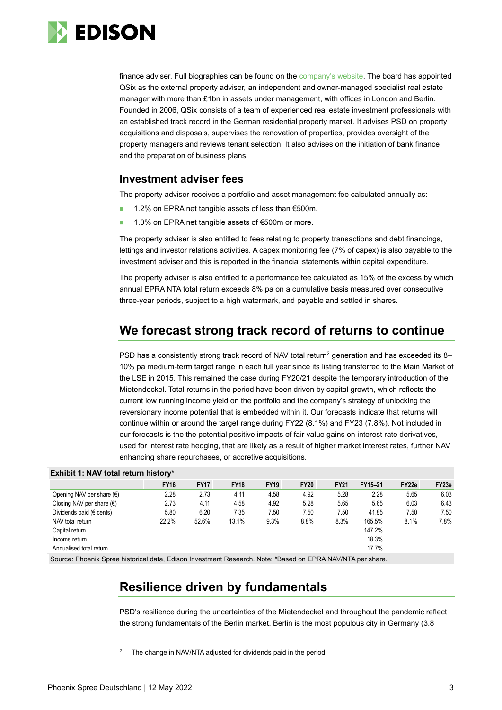

finance adviser. Full biographies can be found on the [company's website.](https://www.phoenixspree.com/our-business/corporate-governance/our-board/) The board has appointed QSix as the external property adviser, an independent and owner-managed specialist real estate manager with more than £1bn in assets under management, with offices in London and Berlin. Founded in 2006, QSix consists of a team of experienced real estate investment professionals with an established track record in the German residential property market. It advises PSD on property acquisitions and disposals, supervises the renovation of properties, provides oversight of the property managers and reviews tenant selection. It also advises on the initiation of bank finance and the preparation of business plans.

### **Investment adviser fees**

The property adviser receives a portfolio and asset management fee calculated annually as:

- 1.2% on EPRA net tangible assets of less than €500m.
- 1.0% on EPRA net tangible assets of €500m or more.

The property adviser is also entitled to fees relating to property transactions and debt financings, lettings and investor relations activities. A capex monitoring fee (7% of capex) is also payable to the investment adviser and this is reported in the financial statements within capital expenditure.

The property adviser is also entitled to a performance fee calculated as 15% of the excess by which annual EPRA NTA total return exceeds 8% pa on a cumulative basis measured over consecutive three-year periods, subject to a high watermark, and payable and settled in shares.

## **We forecast strong track record of returns to continue**

PSD has a consistently strong track record of NAV total return<sup>2</sup> generation and has exceeded its 8-10% pa medium-term target range in each full year since its listing transferred to the Main Market of the LSE in 2015. This remained the case during FY20/21 despite the temporary introduction of the Mietendeckel. Total returns in the period have been driven by capital growth, which reflects the current low running income yield on the portfolio and the company's strategy of unlocking the reversionary income potential that is embedded within it. Our forecasts indicate that returns will continue within or around the target range during FY22 (8.1%) and FY23 (7.8%). Not included in our forecasts is the the potential positive impacts of fair value gains on interest rate derivatives, used for interest rate hedging, that are likely as a result of higher market interest rates, further NAV enhancing share repurchases, or accretive acquisitions.

### **Exhibit 1: NAV total return history\***

|                                    | <b>FY16</b> | <b>FY17</b> | <b>FY18</b> | <b>FY19</b> | <b>FY20</b> | <b>FY21</b> | FY15-21 | FY22e | FY23e |
|------------------------------------|-------------|-------------|-------------|-------------|-------------|-------------|---------|-------|-------|
| Opening NAV per share $(\epsilon)$ | 2.28        | 2.73        | 4.11        | 4.58        | 4.92        | 5.28        | 2.28    | 5.65  | 6.03  |
| Closing NAV per share $(\epsilon)$ | 2.73        | 4.11        | 4.58        | 4.92        | 5.28        | 5.65        | 5.65    | 6.03  | 6.43  |
| Dividends paid ( $\in$ cents)      | 5.80        | 6.20        | 7.35        | 7.50        | 7.50        | 7.50        | 41.85   | 7.50  | 7.50  |
| NAV total return                   | 22.2%       | 52.6%       | 13.1%       | 9.3%        | 8.8%        | 8.3%        | 165.5%  | 8.1%  | 7.8%  |
| Capital return                     |             |             |             |             |             |             | 147.2%  |       |       |
| Income return                      |             |             |             |             |             |             | 18.3%   |       |       |
| Annualised total return            |             |             |             |             |             |             | 17.7%   |       |       |

Source: Phoenix Spree historical data, Edison Investment Research. Note: \*Based on EPRA NAV/NTA per share.

# **Resilience driven by fundamentals**

PSD's resilience during the uncertainties of the Mietendeckel and throughout the pandemic reflect the strong fundamentals of the Berlin market. Berlin is the most populous city in Germany (3.8

The change in NAV/NTA adjusted for dividends paid in the period.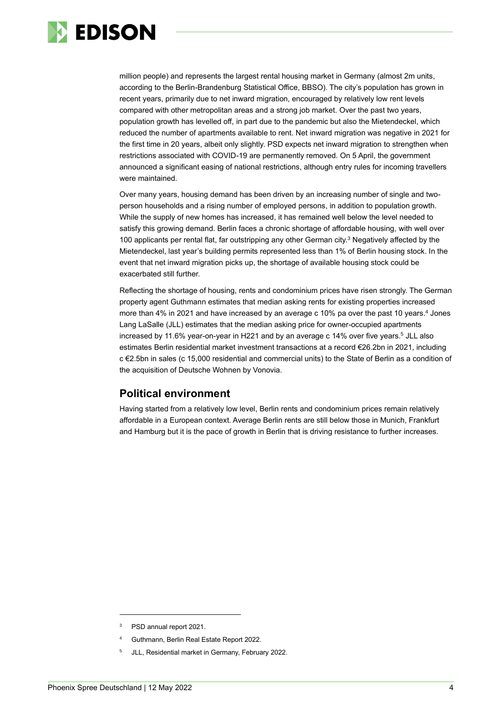

million people) and represents the largest rental housing market in Germany (almost 2m units, according to the Berlin-Brandenburg Statistical Office, BBSO). The city's population has grown in recent years, primarily due to net inward migration, encouraged by relatively low rent levels compared with other metropolitan areas and a strong job market. Over the past two years, population growth has levelled off, in part due to the pandemic but also the Mietendeckel, which reduced the number of apartments available to rent. Net inward migration was negative in 2021 for the first time in 20 years, albeit only slightly. PSD expects net inward migration to strengthen when restrictions associated with COVID-19 are permanently removed. On 5 April, the government announced a significant easing of national restrictions, although entry rules for incoming travellers were maintained.

Over many years, housing demand has been driven by an increasing number of single and twoperson households and a rising number of employed persons, in addition to population growth. While the supply of new homes has increased, it has remained well below the level needed to satisfy this growing demand. Berlin faces a chronic shortage of affordable housing, with well over 100 applicants per rental flat, far outstripping any other German city. <sup>3</sup> Negatively affected by the Mietendeckel, last year's building permits represented less than 1% of Berlin housing stock. In the event that net inward migration picks up, the shortage of available housing stock could be exacerbated still further.

Reflecting the shortage of housing, rents and condominium prices have risen strongly. The German property agent Guthmann estimates that median asking rents for existing properties increased more than 4% in 2021 and have increased by an average c 10% pa over the past 10 years. <sup>4</sup> Jones Lang LaSalle (JLL) estimates that the median asking price for owner-occupied apartments increased by 11.6% year-on-year in H221 and by an average c 14% over five years. <sup>5</sup> JLL also estimates Berlin residential market investment transactions at a record €26.2bn in 2021, including c €2.5bn in sales (c 15,000 residential and commercial units) to the State of Berlin as a condition of the acquisition of Deutsche Wohnen by Vonovia.

### **Political environment**

Having started from a relatively low level, Berlin rents and condominium prices remain relatively affordable in a European context. Average Berlin rents are still below those in Munich, Frankfurt and Hamburg but it is the pace of growth in Berlin that is driving resistance to further increases.

<sup>3</sup> PSD annual report 2021.

<sup>4</sup> Guthmann, Berlin Real Estate Report 2022.

<sup>5</sup> JLL, Residential market in Germany, February 2022.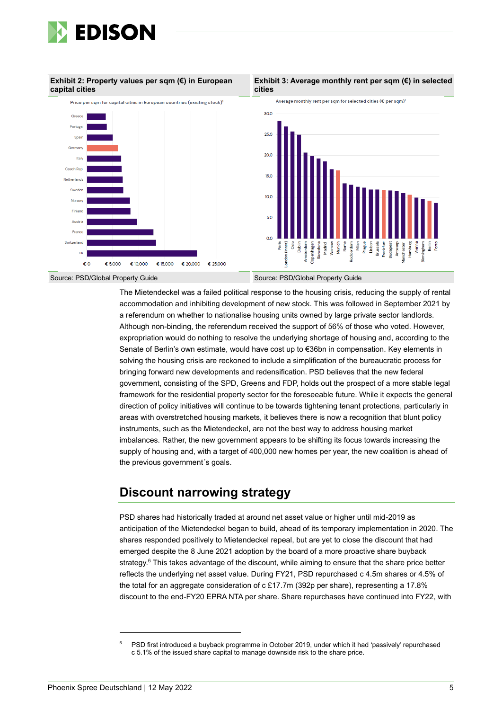

#### **Exhibit 2: Property values per sqm (€) in European capital cities**



#### **Exhibit 3: Average monthly rent per sqm (€) in selected cities**



The Mietendeckel was a failed political response to the housing crisis, reducing the supply of rental accommodation and inhibiting development of new stock. This was followed in September 2021 by a referendum on whether to nationalise housing units owned by large private sector landlords. Although non-binding, the referendum received the support of 56% of those who voted. However, expropriation would do nothing to resolve the underlying shortage of housing and, according to the Senate of Berlin's own estimate, would have cost up to €36bn in compensation. Key elements in solving the housing crisis are reckoned to include a simplification of the bureaucratic process for bringing forward new developments and redensification. PSD believes that the new federal government, consisting of the SPD, Greens and FDP, holds out the prospect of a more stable legal framework for the residential property sector for the foreseeable future. While it expects the general direction of policy initiatives will continue to be towards tightening tenant protections, particularly in areas with overstretched housing markets, it believes there is now a recognition that blunt policy instruments, such as the Mietendeckel, are not the best way to address housing market imbalances. Rather, the new government appears to be shifting its focus towards increasing the supply of housing and, with a target of 400,000 new homes per year, the new coalition is ahead of the previous government´s goals.

## **Discount narrowing strategy**

PSD shares had historically traded at around net asset value or higher until mid-2019 as anticipation of the Mietendeckel began to build, ahead of its temporary implementation in 2020. The shares responded positively to Mietendeckel repeal, but are yet to close the discount that had emerged despite the 8 June 2021 adoption by the board of a more proactive share buyback strategy.<sup>6</sup> This takes advantage of the discount, while aiming to ensure that the share price better reflects the underlying net asset value. During FY21, PSD repurchased c 4.5m shares or 4.5% of the total for an aggregate consideration of c £17.7m (392p per share), representing a 17.8% discount to the end-FY20 EPRA NTA per share. Share repurchases have continued into FY22, with

PSD first introduced a buyback programme in October 2019, under which it had 'passively' repurchased c 5.1% of the issued share capital to manage downside risk to the share price.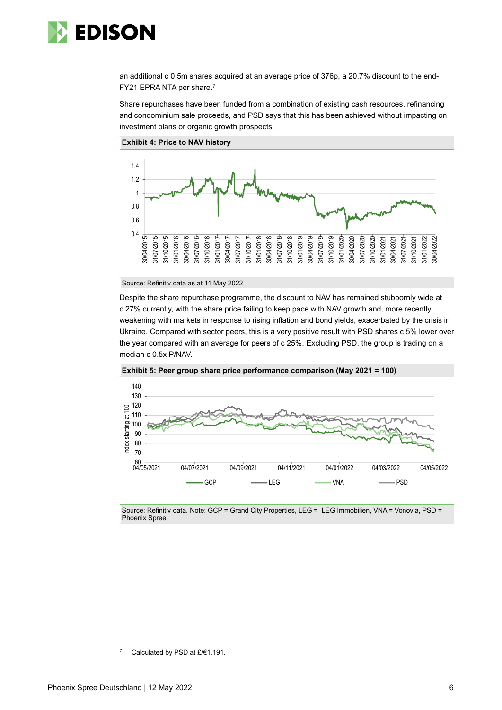

an additional c 0.5m shares acquired at an average price of 376p, a 20.7% discount to the end-FY21 EPRA NTA per share.<sup>7</sup>

Share repurchases have been funded from a combination of existing cash resources, refinancing and condominium sale proceeds, and PSD says that this has been achieved without impacting on investment plans or organic growth prospects.



#### **Exhibit 4: Price to NAV history**

Source: Refinitiv data as at 11 May 2022

Despite the share repurchase programme, the discount to NAV has remained stubbornly wide at c 27% currently, with the share price failing to keep pace with NAV growth and, more recently, weakening with markets in response to rising inflation and bond yields, exacerbated by the crisis in Ukraine. Compared with sector peers, this is a very positive result with PSD shares c 5% lower over the year compared with an average for peers of c 25%. Excluding PSD, the group is trading on a median c 0.5x P/NAV.



**Exhibit 5: Peer group share price performance comparison (May 2021 = 100)**

Source: Refinitiv data. Note: GCP = Grand City Properties, LEG = LEG Immobilien, VNA = Vonovia, PSD = Phoenix Spree.

Calculated by PSD at £/€1.191.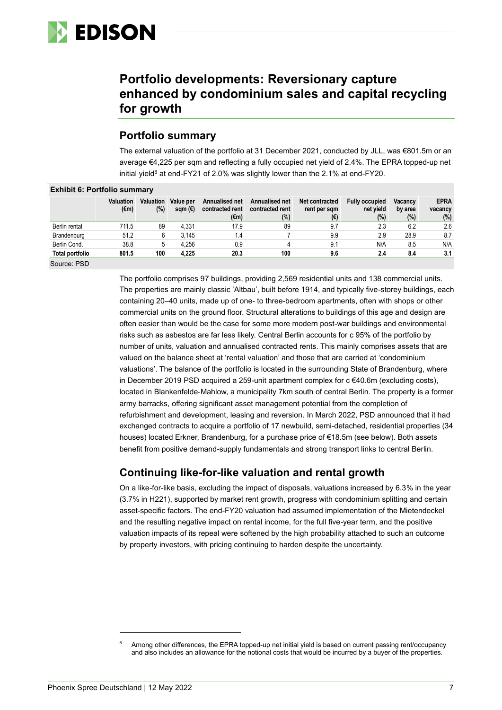

## **Portfolio developments: Reversionary capture enhanced by condominium sales and capital recycling for growth**

### **Portfolio summary**

The external valuation of the portfolio at 31 December 2021, conducted by JLL, was €801.5m or an average €4,225 per sqm and reflecting a fully occupied net yield of 2.4%. The EPRA topped-up net initial yield<sup>8</sup> at end-FY21 of 2.0% was slightly lower than the 2.1% at end-FY20.

| ______________________________ |                                    |                         |                               |                                   |                                   |                                |                                    |                           |                        |
|--------------------------------|------------------------------------|-------------------------|-------------------------------|-----------------------------------|-----------------------------------|--------------------------------|------------------------------------|---------------------------|------------------------|
|                                | <b>Valuation</b><br>$(\epsilon m)$ | <b>Valuation</b><br>(%) | Value per<br>sqm $(\epsilon)$ | Annualised net<br>contracted rent | Annualised net<br>contracted rent | Net contracted<br>rent per sqm | <b>Fully occupied</b><br>net vield | <b>Vacancy</b><br>by area | <b>EPRA</b><br>vacancy |
|                                |                                    |                         |                               | (€m)                              | $(\%)$                            | (€)                            | (%)                                | $(\%)$                    | (%)                    |
| Berlin rental                  | 711.5                              | 89                      | 4.331                         | 17.9                              | 89                                | 9.7                            | 2.3                                | 6.2                       | 2.6                    |
| Brandenburg                    | 51.2                               | 6                       | 3.145                         | 1.4                               |                                   | 9.9                            | 2.9                                | 28.9                      | 8.7                    |
| Berlin Cond.                   | 38.8                               | 5                       | 4.256                         | 0.9                               | 4                                 | 9.1                            | N/A                                | 8.5                       | N/A                    |
| <b>Total portfolio</b>         | 801.5                              | 100                     | 4,225                         | 20.3                              | 100                               | 9.6                            | 2.4                                | 8.4                       | 3.1                    |
| Source: PSD                    |                                    |                         |                               |                                   |                                   |                                |                                    |                           |                        |

### **Exhibit 6: Portfolio summary**

The portfolio comprises 97 buildings, providing 2,569 residential units and 138 commercial units. The properties are mainly classic 'Altbau', built before 1914, and typically five-storey buildings, each containing 20–40 units, made up of one- to three-bedroom apartments, often with shops or other commercial units on the ground floor. Structural alterations to buildings of this age and design are often easier than would be the case for some more modern post-war buildings and environmental risks such as asbestos are far less likely. Central Berlin accounts for c 95% of the portfolio by number of units, valuation and annualised contracted rents. This mainly comprises assets that are valued on the balance sheet at 'rental valuation' and those that are carried at 'condominium valuations'. The balance of the portfolio is located in the surrounding State of Brandenburg, where in December 2019 PSD acquired a 259-unit apartment complex for c €40.6m (excluding costs), located in Blankenfelde‐Mahlow, a municipality 7km south of central Berlin. The property is a former army barracks, offering significant asset management potential from the completion of refurbishment and development, leasing and reversion. In March 2022, PSD announced that it had exchanged contracts to acquire a portfolio of 17 newbuild, semi-detached, residential properties (34 houses) located Erkner, Brandenburg, for a purchase price of €18.5m (see below). Both assets benefit from positive demand-supply fundamentals and strong transport links to central Berlin.

### **Continuing like-for-like valuation and rental growth**

On a like-for-like basis, excluding the impact of disposals, valuations increased by 6.3% in the year (3.7% in H221), supported by market rent growth, progress with condominium splitting and certain asset-specific factors. The end-FY20 valuation had assumed implementation of the Mietendeckel and the resulting negative impact on rental income, for the full five-year term, and the positive valuation impacts of its repeal were softened by the high probability attached to such an outcome by property investors, with pricing continuing to harden despite the uncertainty.

Among other differences, the EPRA topped-up net initial yield is based on current passing rent/occupancy and also includes an allowance for the notional costs that would be incurred by a buyer of the properties.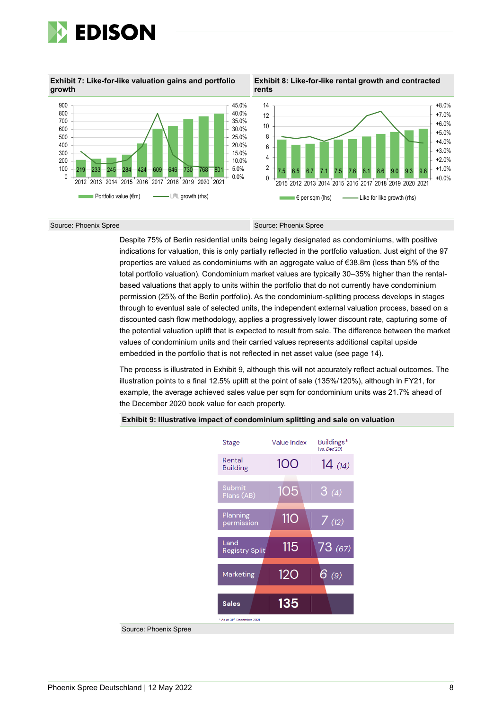

**Exhibit 7: Like-for-like valuation gains and portfolio growth**



**Exhibit 8: Like-for-like rental growth and contracted rents**



#### Source: Phoenix Spree Source: Phoenix Spree

Despite 75% of Berlin residential units being legally designated as condominiums, with positive indications for valuation, this is only partially reflected in the portfolio valuation. Just eight of the 97 properties are valued as condominiums with an aggregate value of €38.8m (less than 5% of the total portfolio valuation). Condominium market values are typically 30–35% higher than the rentalbased valuations that apply to units within the portfolio that do not currently have condominium permission (25% of the Berlin portfolio). As the condominium-splitting process develops in stages through to eventual sale of selected units, the independent external valuation process, based on a discounted cash flow methodology, applies a progressively lower discount rate, capturing some of the potential valuation uplift that is expected to result from sale. The difference between the market values of condominium units and their carried values represents additional capital upside embedded in the portfolio that is not reflected in net asset value (see page 14).

The process is illustrated in Exhibit 9, although this will not accurately reflect actual outcomes. The illustration points to a final 12.5% uplift at the point of sale (135%/120%), although in FY21, for example, the average achieved sales value per sqm for condominium units was 21.7% ahead of the December 2020 book value for each property.

#### **Exhibit 9: Illustrative impact of condominium splitting and sale on valuation**



Source: Phoenix Spree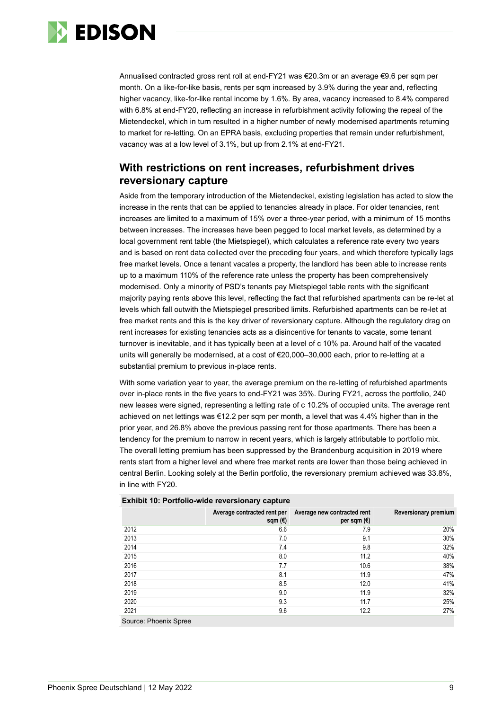

Annualised contracted gross rent roll at end-FY21 was €20.3m or an average €9.6 per sqm per month. On a like-for-like basis, rents per sqm increased by 3.9% during the year and, reflecting higher vacancy, like-for-like rental income by 1.6%. By area, vacancy increased to 8.4% compared with 6.8% at end-FY20, reflecting an increase in refurbishment activity following the repeal of the Mietendeckel, which in turn resulted in a higher number of newly modernised apartments returning to market for re-letting. On an EPRA basis, excluding properties that remain under refurbishment, vacancy was at a low level of 3.1%, but up from 2.1% at end-FY21.

### **With restrictions on rent increases, refurbishment drives reversionary capture**

Aside from the temporary introduction of the Mietendeckel, existing legislation has acted to slow the increase in the rents that can be applied to tenancies already in place. For older tenancies, rent increases are limited to a maximum of 15% over a three-year period, with a minimum of 15 months between increases. The increases have been pegged to local market levels, as determined by a local government rent table (the Mietspiegel), which calculates a reference rate every two years and is based on rent data collected over the preceding four years, and which therefore typically lags free market levels. Once a tenant vacates a property, the landlord has been able to increase rents up to a maximum 110% of the reference rate unless the property has been comprehensively modernised. Only a minority of PSD's tenants pay Mietspiegel table rents with the significant majority paying rents above this level, reflecting the fact that refurbished apartments can be re-let at levels which fall outwith the Mietspiegel prescribed limits. Refurbished apartments can be re-let at free market rents and this is the key driver of reversionary capture. Although the regulatory drag on rent increases for existing tenancies acts as a disincentive for tenants to vacate, some tenant turnover is inevitable, and it has typically been at a level of c 10% pa. Around half of the vacated units will generally be modernised, at a cost of €20,000–30,000 each, prior to re-letting at a substantial premium to previous in-place rents.

With some variation year to year, the average premium on the re-letting of refurbished apartments over in-place rents in the five years to end-FY21 was 35%. During FY21, across the portfolio, 240 new leases were signed, representing a letting rate of c 10.2% of occupied units. The average rent achieved on net lettings was €12.2 per sqm per month, a level that was 4.4% higher than in the prior year, and 26.8% above the previous passing rent for those apartments. There has been a tendency for the premium to narrow in recent years, which is largely attributable to portfolio mix. The overall letting premium has been suppressed by the Brandenburg acquisition in 2019 where rents start from a higher level and where free market rents are lower than those being achieved in central Berlin. Looking solely at the Berlin portfolio, the reversionary premium achieved was 33.8%, in line with FY20.

| $\blacksquare$ |                                        |                                                     |                      |
|----------------|----------------------------------------|-----------------------------------------------------|----------------------|
|                | Average contracted rent per<br>sqm (€) | Average new contracted rent<br>per sqm $(\epsilon)$ | Reversionary premium |
| 2012           | 6.6                                    | 7.9                                                 | 20%                  |
| 2013           | 7.0                                    | 9.1                                                 | 30%                  |
| 2014           | 7.4                                    | 9.8                                                 | 32%                  |
| 2015           | 8.0                                    | 11.2                                                | 40%                  |
| 2016           | 7.7                                    | 10.6                                                | 38%                  |
| 2017           | 8.1                                    | 11.9                                                | 47%                  |
| 2018           | 8.5                                    | 12.0                                                | 41%                  |
| 2019           | 9.0                                    | 11.9                                                | 32%                  |
| 2020           | 9.3                                    | 11.7                                                | 25%                  |
| 2021           | 9.6                                    | 12.2                                                | 27%                  |
|                |                                        |                                                     |                      |

#### **Exhibit 10: Portfolio-wide reversionary capture**

Source: Phoenix Spree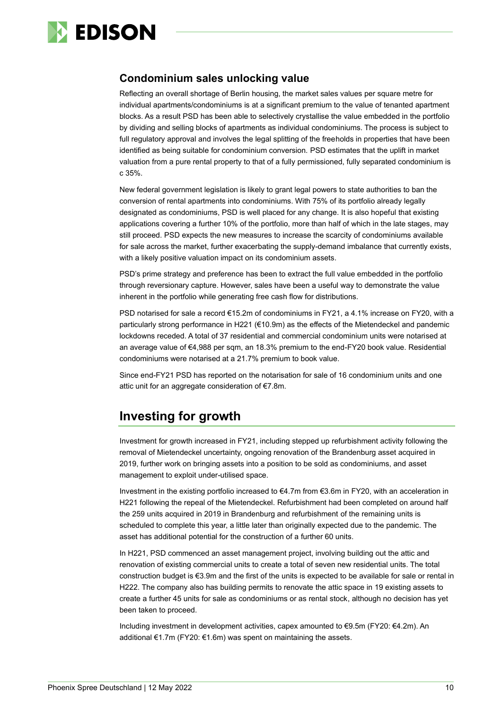

### **Condominium sales unlocking value**

Reflecting an overall shortage of Berlin housing, the market sales values per square metre for individual apartments/condominiums is at a significant premium to the value of tenanted apartment blocks. As a result PSD has been able to selectively crystallise the value embedded in the portfolio by dividing and selling blocks of apartments as individual condominiums. The process is subject to full regulatory approval and involves the legal splitting of the freeholds in properties that have been identified as being suitable for condominium conversion. PSD estimates that the uplift in market valuation from a pure rental property to that of a fully permissioned, fully separated condominium is c 35%.

New federal government legislation is likely to grant legal powers to state authorities to ban the conversion of rental apartments into condominiums. With 75% of its portfolio already legally designated as condominiums, PSD is well placed for any change. It is also hopeful that existing applications covering a further 10% of the portfolio, more than half of which in the late stages, may still proceed. PSD expects the new measures to increase the scarcity of condominiums available for sale across the market, further exacerbating the supply-demand imbalance that currently exists, with a likely positive valuation impact on its condominium assets.

PSD's prime strategy and preference has been to extract the full value embedded in the portfolio through reversionary capture. However, sales have been a useful way to demonstrate the value inherent in the portfolio while generating free cash flow for distributions.

PSD notarised for sale a record €15.2m of condominiums in FY21, a 4.1% increase on FY20, with a particularly strong performance in H221 (€10.9m) as the effects of the Mietendeckel and pandemic lockdowns receded. A total of 37 residential and commercial condominium units were notarised at an average value of €4,988 per sqm, an 18.3% premium to the end-FY20 book value. Residential condominiums were notarised at a 21.7% premium to book value.

Since end-FY21 PSD has reported on the notarisation for sale of 16 condominium units and one attic unit for an aggregate consideration of €7.8m.

## **Investing for growth**

Investment for growth increased in FY21, including stepped up refurbishment activity following the removal of Mietendeckel uncertainty, ongoing renovation of the Brandenburg asset acquired in 2019, further work on bringing assets into a position to be sold as condominiums, and asset management to exploit under-utilised space.

Investment in the existing portfolio increased to €4.7m from €3.6m in FY20, with an acceleration in H221 following the repeal of the Mietendeckel. Refurbishment had been completed on around half the 259 units acquired in 2019 in Brandenburg and refurbishment of the remaining units is scheduled to complete this year, a little later than originally expected due to the pandemic. The asset has additional potential for the construction of a further 60 units.

In H221, PSD commenced an asset management project, involving building out the attic and renovation of existing commercial units to create a total of seven new residential units. The total construction budget is €3.9m and the first of the units is expected to be available for sale or rental in H222. The company also has building permits to renovate the attic space in 19 existing assets to create a further 45 units for sale as condominiums or as rental stock, although no decision has yet been taken to proceed.

Including investment in development activities, capex amounted to €9.5m (FY20: €4.2m). An additional €1.7m (FY20: €1.6m) was spent on maintaining the assets.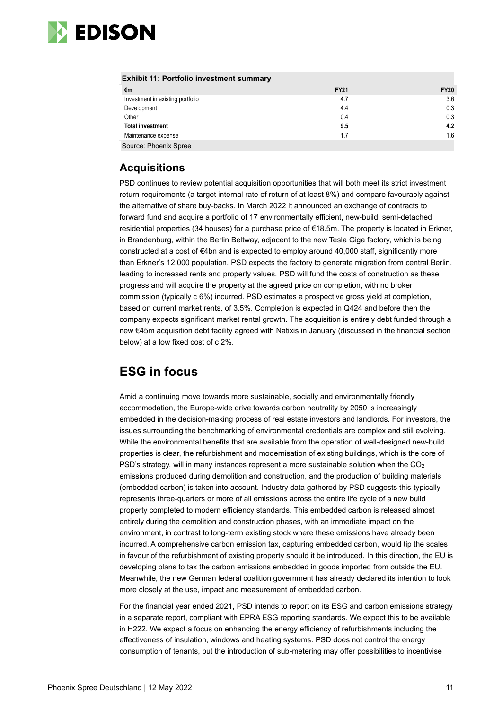

#### **Exhibit 11: Portfolio investment summary**

| €m                               | <b>FY21</b> | <b>FY20</b> |
|----------------------------------|-------------|-------------|
| Investment in existing portfolio | 4.7         | 3.6         |
| Development                      | 4.4         | 0.3         |
| Other                            | 0.4         | 0.3         |
| <b>Total investment</b>          | 9.5         | 4.2         |
| Maintenance expense              | 1.7         | 1.6         |
| Source: Phoenix Spree            |             |             |

### **Acquisitions**

PSD continues to review potential acquisition opportunities that will both meet its strict investment return requirements (a target internal rate of return of at least 8%) and compare favourably against the alternative of share buy-backs. In March 2022 it announced an exchange of contracts to forward fund and acquire a portfolio of 17 environmentally efficient, new-build, semi-detached residential properties (34 houses) for a purchase price of €18.5m. The property is located in Erkner, in Brandenburg, within the Berlin Beltway, adjacent to the new Tesla Giga factory, which is being constructed at a cost of €4bn and is expected to employ around 40,000 staff, significantly more than Erkner's 12,000 population. PSD expects the factory to generate migration from central Berlin, leading to increased rents and property values. PSD will fund the costs of construction as these progress and will acquire the property at the agreed price on completion, with no broker commission (typically c 6%) incurred. PSD estimates a prospective gross yield at completion, based on current market rents, of 3.5%. Completion is expected in Q424 and before then the company expects significant market rental growth. The acquisition is entirely debt funded through a new €45m acquisition debt facility agreed with Natixis in January (discussed in the financial section below) at a low fixed cost of c 2%.

## **ESG in focus**

Amid a continuing move towards more sustainable, socially and environmentally friendly accommodation, the Europe-wide drive towards carbon neutrality by 2050 is increasingly embedded in the decision-making process of real estate investors and landlords. For investors, the issues surrounding the benchmarking of environmental credentials are complex and still evolving. While the environmental benefits that are available from the operation of well-designed new-build properties is clear, the refurbishment and modernisation of existing buildings, which is the core of PSD's strategy, will in many instances represent a more sustainable solution when the CO<sub>2</sub> emissions produced during demolition and construction, and the production of building materials (embedded carbon) is taken into account. Industry data gathered by PSD suggests this typically represents three-quarters or more of all emissions across the entire life cycle of a new build property completed to modern efficiency standards. This embedded carbon is released almost entirely during the demolition and construction phases, with an immediate impact on the environment, in contrast to long-term existing stock where these emissions have already been incurred. A comprehensive carbon emission tax, capturing embedded carbon, would tip the scales in favour of the refurbishment of existing property should it be introduced. In this direction, the EU is developing plans to tax the carbon emissions embedded in goods imported from outside the EU. Meanwhile, the new German federal coalition government has already declared its intention to look more closely at the use, impact and measurement of embedded carbon.

For the financial year ended 2021, PSD intends to report on its ESG and carbon emissions strategy in a separate report, compliant with EPRA ESG reporting standards. We expect this to be available in H222. We expect a focus on enhancing the energy efficiency of refurbishments including the effectiveness of insulation, windows and heating systems. PSD does not control the energy consumption of tenants, but the introduction of sub-metering may offer possibilities to incentivise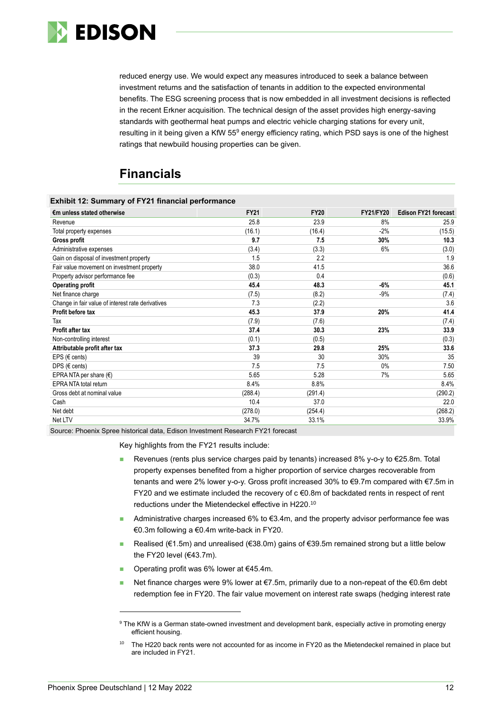

reduced energy use. We would expect any measures introduced to seek a balance between investment returns and the satisfaction of tenants in addition to the expected environmental benefits. The ESG screening process that is now embedded in all investment decisions is reflected in the recent Erkner acquisition. The technical design of the asset provides high energy-saving standards with geothermal heat pumps and electric vehicle charging stations for every unit, resulting in it being given a KfW 55<sup>9</sup> energy efficiency rating, which PSD says is one of the highest ratings that newbuild housing properties can be given.

# **Financials**

| <b>Exhibit 12: Summary of FY21 financial performance</b> |             |             |                  |                             |
|----------------------------------------------------------|-------------|-------------|------------------|-----------------------------|
| €m unless stated otherwise                               | <b>FY21</b> | <b>FY20</b> | <b>FY21/FY20</b> | <b>Edison FY21 forecast</b> |
| Revenue                                                  | 25.8        | 23.9        | 8%               | 25.9                        |
| Total property expenses                                  | (16.1)      | (16.4)      | $-2%$            | (15.5)                      |
| Gross profit                                             | 9.7         | 7.5         | 30%              | 10.3                        |
| Administrative expenses                                  | (3.4)       | (3.3)       | 6%               | (3.0)                       |
| Gain on disposal of investment property                  | 1.5         | 2.2         |                  | 1.9                         |
| Fair value movement on investment property               | 38.0        | 41.5        |                  | 36.6                        |
| Property advisor performance fee                         | (0.3)       | 0.4         |                  | (0.6)                       |
| <b>Operating profit</b>                                  | 45.4        | 48.3        | $-6%$            | 45.1                        |
| Net finance charge                                       | (7.5)       | (8.2)       | $-9%$            | (7.4)                       |
| Change in fair value of interest rate derivatives        | 7.3         | (2.2)       |                  | 3.6                         |
| Profit before tax                                        | 45.3        | 37.9        | 20%              | 41.4                        |
| Tax                                                      | (7.9)       | (7.6)       |                  | (7.4)                       |
| Profit after tax                                         | 37.4        | 30.3        | 23%              | 33.9                        |
| Non-controlling interest                                 | (0.1)       | (0.5)       |                  | (0.3)                       |
| Attributable profit after tax                            | 37.3        | 29.8        | 25%              | 33.6                        |
| EPS ( $\in$ cents)                                       | 39          | 30          | 30%              | 35                          |
| DPS ( $\in$ cents)                                       | 7.5         | 7.5         | $0\%$            | 7.50                        |
| EPRA NTA per share $(\epsilon)$                          | 5.65        | 5.28        | 7%               | 5.65                        |
| <b>EPRA NTA total return</b>                             | 8.4%        | 8.8%        |                  | 8.4%                        |
| Gross debt at nominal value                              | (288.4)     | (291.4)     |                  | (290.2)                     |
| Cash                                                     | 10.4        | 37.0        |                  | 22.0                        |
| Net debt                                                 | (278.0)     | (254.4)     |                  | (268.2)                     |
| Net LTV                                                  | 34.7%       | 33.1%       |                  | 33.9%                       |

Source: Phoenix Spree historical data, Edison Investment Research FY21 forecast

Key highlights from the FY21 results include:

- Revenues (rents plus service charges paid by tenants) increased 8% y-o-y to €25.8m. Total property expenses benefited from a higher proportion of service charges recoverable from tenants and were 2% lower y-o-y. Gross profit increased 30% to €9.7m compared with €7.5m in FY20 and we estimate included the recovery of c €0.8m of backdated rents in respect of rent reductions under the Mietendeckel effective in H220. 10
- Administrative charges increased 6% to  $€3.4$ m, and the property advisor performance fee was €0.3m following a €0.4m write-back in FY20.
- Realised (€1.5m) and unrealised (€38.0m) gains of €39.5m remained strong but a little below the FY20 level (€43.7m).
- ◼ Operating profit was 6% lower at €45.4m.
- Net finance charges were 9% lower at €7.5m, primarily due to a non-repeat of the €0.6m debt redemption fee in FY20. The fair value movement on interest rate swaps (hedging interest rate

<sup>9</sup> The KfW is a German state-owned investment and development bank, especially active in promoting energy efficient housing.

The H220 back rents were not accounted for as income in FY20 as the Mietendeckel remained in place but are included in FY21.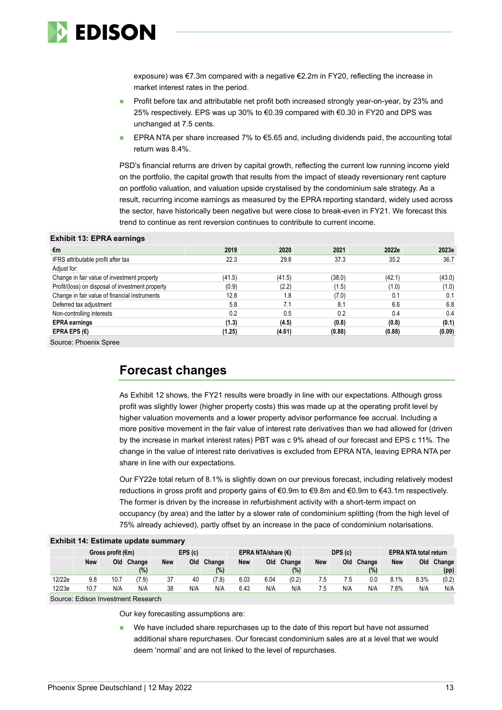

exposure) was €7.3m compared with a negative €2.2m in FY20, reflecting the increase in market interest rates in the period.

- Profit before tax and attributable net profit both increased strongly year-on-year, by 23% and 25% respectively. EPS was up 30% to €0.39 compared with €0.30 in FY20 and DPS was unchanged at 7.5 cents.
- EPRA NTA per share increased 7% to  $\epsilon$ 5.65 and, including dividends paid, the accounting total return was 8.4%.

PSD's financial returns are driven by capital growth, reflecting the current low running income yield on the portfolio, the capital growth that results from the impact of steady reversionary rent capture on portfolio valuation, and valuation upside crystalised by the condominium sale strategy. As a result, recurring income earnings as measured by the EPRA reporting standard, widely used across the sector, have historically been negative but were close to break-even in FY21. We forecast this trend to continue as rent reversion continues to contribute to current income.

#### **Exhibit 13: EPRA earnings**

| €m                                               | 2019   | 2020   | 2021   | 2022e  | 2023e  |
|--------------------------------------------------|--------|--------|--------|--------|--------|
| IFRS attributable profit after tax               | 22.3   | 29.8   | 37.3   | 35.2   | 36.7   |
| Adjust for:                                      |        |        |        |        |        |
| Change in fair value of investment property      | (41.5) | (41.5) | (38.0) | (42.1) | (43.0) |
| Profit/(loss) on disposal of investment property | (0.9)  | (2.2)  | (1.5)  | (1.0)  | (1.0)  |
| Change in fair value of financial instruments    | 12.8   | 1.8    | (7.0)  | 0.1    | 0.1    |
| Deferred tax adjustment                          | 5.8    | 7.1    | 8.1    | 6.6    | 6.8    |
| Non-controlling interests                        | 0.2    | 0.5    | 0.2    | 0.4    | 0.4    |
| <b>EPRA</b> earnings                             | (1.3)  | (4.5)  | (0.8)  | (0.8)  | (0.1)  |
| EPRA EPS $(E)$                                   | (1.25) | (4.61) | (0.88) | (0.88) | (0.09) |

Source: Phoenix Spree

## **Forecast changes**

As Exhibit 12 shows, the FY21 results were broadly in line with our expectations. Although gross profit was slightly lower (higher property costs) this was made up at the operating profit level by higher valuation movements and a lower property advisor performance fee accrual. Including a more positive movement in the fair value of interest rate derivatives than we had allowed for (driven by the increase in market interest rates) PBT was c 9% ahead of our forecast and EPS c 11%. The change in the value of interest rate derivatives is excluded from EPRA NTA, leaving EPRA NTA per share in line with our expectations.

Our FY22e total return of 8.1% is slightly down on our previous forecast, including relatively modest reductions in gross profit and property gains of €0.9m to €9.8m and €0.9m to €43.1m respectively. The former is driven by the increase in refurbishment activity with a short-term impact on occupancy (by area) and the latter by a slower rate of condominium splitting (from the high level of 75% already achieved), partly offset by an increase in the pace of condominium notarisations.

|        | <b>EXIMPLE 14. ESUMBER UPGALE SUMMER</b> |      |                  |            |     |               |                             |      |                  |            |     |                              |            |      |                |
|--------|------------------------------------------|------|------------------|------------|-----|---------------|-----------------------------|------|------------------|------------|-----|------------------------------|------------|------|----------------|
|        | Gross profit $(\epsilon m)$              |      |                  | EPS(c)     |     |               | EPRA NTA/share $(\epsilon)$ |      |                  | DPS (c)    |     | <b>EPRA NTA total return</b> |            |      |                |
|        | <b>New</b>                               | Old  | Change<br>$(\%)$ | <b>New</b> | Old | Change<br>(%) | <b>New</b>                  | Old  | Change<br>$(\%)$ | <b>New</b> | Old | Change<br>$(\%)$             | <b>New</b> | Old  | Change<br>(pp) |
| 12/22e | 9.8                                      | 10.7 | (7.9)            | 37         | 40  | (7.8)         | 6.03                        | 6.04 | (0.2)            | 7.5        | 7.5 | 0.0                          | 8.1%       | 8.3% | (0.2)          |
| 12/23e | 10.7                                     | N/A  | N/A              | 38         | N/A | N/A           | 6.43                        | N/A  | N/A              | 7.5        | N/A | N/A                          | 7.8%       | N/A  | N/A            |
|        | Source: Edison Investment Research       |      |                  |            |     |               |                             |      |                  |            |     |                              |            |      |                |

### **Exhibit 14: Estimate undate a**

Our key forecasting assumptions are:

We have included share repurchases up to the date of this report but have not assumed additional share repurchases. Our forecast condominium sales are at a level that we would deem 'normal' and are not linked to the level of repurchases.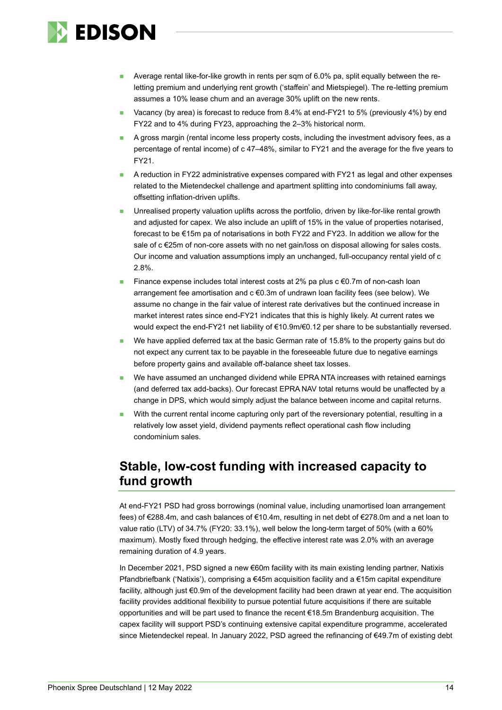

- Average rental like-for-like growth in rents per sqm of 6.0% pa, split equally between the reletting premium and underlying rent growth ('staffein' and Mietspiegel). The re-letting premium assumes a 10% lease churn and an average 30% uplift on the new rents.
- Vacancy (by area) is forecast to reduce from 8.4% at end-FY21 to 5% (previously 4%) by end FY22 and to 4% during FY23, approaching the 2–3% historical norm.
- A gross margin (rental income less property costs, including the investment advisory fees, as a percentage of rental income) of c 47–48%, similar to FY21 and the average for the five years to FY21.
- A reduction in FY22 administrative expenses compared with FY21 as legal and other expenses related to the Mietendeckel challenge and apartment splitting into condominiums fall away, offsetting inflation-driven uplifts.
- Unrealised property valuation uplifts across the portfolio, driven by like-for-like rental growth and adjusted for capex. We also include an uplift of 15% in the value of properties notarised, forecast to be €15m pa of notarisations in both FY22 and FY23. In addition we allow for the sale of c €25m of non-core assets with no net gain/loss on disposal allowing for sales costs. Our income and valuation assumptions imply an unchanged, full-occupancy rental yield of c 2.8%.
- Finance expense includes total interest costs at 2% pa plus  $c \in 0.7$ m of non-cash loan arrangement fee amortisation and  $c \in 0.3$ m of undrawn loan facility fees (see below). We assume no change in the fair value of interest rate derivatives but the continued increase in market interest rates since end-FY21 indicates that this is highly likely. At current rates we would expect the end-FY21 net liability of €10.9m/€0.12 per share to be substantially reversed.
- We have applied deferred tax at the basic German rate of 15.8% to the property gains but do not expect any current tax to be payable in the foreseeable future due to negative earnings before property gains and available off-balance sheet tax losses.
- We have assumed an unchanged dividend while EPRA NTA increases with retained earnings (and deferred tax add-backs). Our forecast EPRA NAV total returns would be unaffected by a change in DPS, which would simply adjust the balance between income and capital returns.
- With the current rental income capturing only part of the reversionary potential, resulting in a relatively low asset yield, dividend payments reflect operational cash flow including condominium sales.

## **Stable, low-cost funding with increased capacity to fund growth**

At end-FY21 PSD had gross borrowings (nominal value, including unamortised loan arrangement fees) of €288.4m, and cash balances of €10.4m, resulting in net debt of €278.0m and a net loan to value ratio (LTV) of 34.7% (FY20: 33.1%), well below the long-term target of 50% (with a 60% maximum). Mostly fixed through hedging, the effective interest rate was 2.0% with an average remaining duration of 4.9 years.

In December 2021, PSD signed a new €60m facility with its main existing lending partner, Natixis Pfandbriefbank ('Natixis'), comprising a  $\epsilon$ 45m acquisition facility and a  $\epsilon$ 15m capital expenditure facility, although just €0.9m of the development facility had been drawn at year end. The acquisition facility provides additional flexibility to pursue potential future acquisitions if there are suitable opportunities and will be part used to finance the recent €18.5m Brandenburg acquisition. The capex facility will support PSD's continuing extensive capital expenditure programme, accelerated since Mietendeckel repeal. In January 2022, PSD agreed the refinancing of €49.7m of existing debt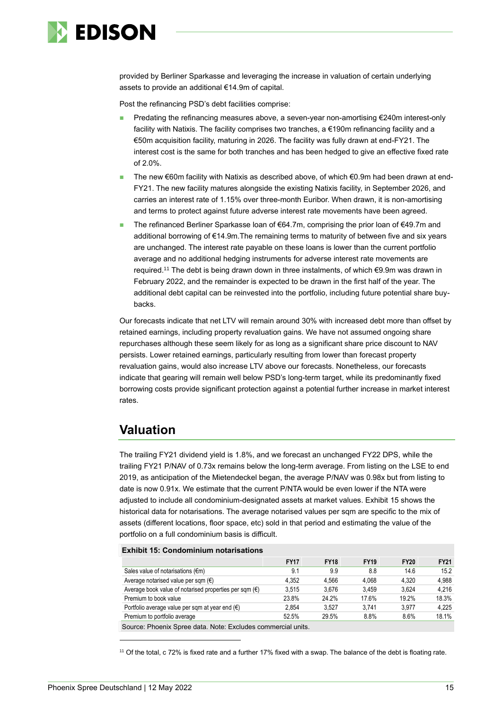

provided by Berliner Sparkasse and leveraging the increase in valuation of certain underlying assets to provide an additional €14.9m of capital.

Post the refinancing PSD's debt facilities comprise:

- Predating the refinancing measures above, a seven-year non-amortising €240m interest-only facility with Natixis. The facility comprises two tranches, a €190m refinancing facility and a €50m acquisition facility, maturing in 2026. The facility was fully drawn at end-FY21. The interest cost is the same for both tranches and has been hedged to give an effective fixed rate of 2.0%.
- The new €60m facility with Natixis as described above, of which €0.9m had been drawn at end-FY21. The new facility matures alongside the existing Natixis facility, in September 2026, and carries an interest rate of 1.15% over three-month Euribor. When drawn, it is non-amortising and terms to protect against future adverse interest rate movements have been agreed.
- The refinanced Berliner Sparkasse loan of €64.7m, comprising the prior loan of €49.7m and additional borrowing of €14.9m.The remaining terms to maturity of between five and six years are unchanged. The interest rate payable on these loans is lower than the current portfolio average and no additional hedging instruments for adverse interest rate movements are required. <sup>11</sup> The debt is being drawn down in three instalments, of which €9.9m was drawn in February 2022, and the remainder is expected to be drawn in the first half of the year. The additional debt capital can be reinvested into the portfolio, including future potential share buybacks.

Our forecasts indicate that net LTV will remain around 30% with increased debt more than offset by retained earnings, including property revaluation gains. We have not assumed ongoing share repurchases although these seem likely for as long as a significant share price discount to NAV persists. Lower retained earnings, particularly resulting from lower than forecast property revaluation gains, would also increase LTV above our forecasts. Nonetheless, our forecasts indicate that gearing will remain well below PSD's long-term target, while its predominantly fixed borrowing costs provide significant protection against a potential further increase in market interest rates.

## **Valuation**

The trailing FY21 dividend yield is 1.8%, and we forecast an unchanged FY22 DPS, while the trailing FY21 P/NAV of 0.73x remains below the long-term average. From listing on the LSE to end 2019, as anticipation of the Mietendeckel began, the average P/NAV was 0.98x but from listing to date is now 0.91x. We estimate that the current P/NTA would be even lower if the NTA were adjusted to include all condominium-designated assets at market values. Exhibit 15 shows the historical data for notarisations. The average notarised values per sqm are specific to the mix of assets (different locations, floor space, etc) sold in that period and estimating the value of the portfolio on a full condominium basis is difficult.

#### **Exhibit 15: Condominium notarisations**

|                                                                 | <b>FY17</b> | <b>FY18</b> | <b>FY19</b> | <b>FY20</b> | <b>FY21</b> |
|-----------------------------------------------------------------|-------------|-------------|-------------|-------------|-------------|
| Sales value of notarisations $(\epsilon m)$                     | 9.1         | 9.9         | 8.8         | 14.6        | 15.2        |
| Average notarised value per sqm $(\epsilon)$                    | 4.352       | 4.566       | 4.068       | 4.320       | 4.988       |
| Average book value of notarised properties per sqm $(\epsilon)$ | 3.515       | 3.676       | 3.459       | 3.624       | 4.216       |
| Premium to book value                                           | 23.8%       | 24.2%       | 17.6%       | 19.2%       | 18.3%       |
| Portfolio average value per sqm at year end $(6)$               | 2.854       | 3.527       | 3.741       | 3.977       | 4.225       |
| Premium to portfolio average                                    | 52.5%       | 29.5%       | 8.8%        | 8.6%        | 18.1%       |
|                                                                 |             |             |             |             |             |

Source: Phoenix Spree data. Note: Excludes commercial units.

<sup>11</sup> Of the total, c 72% is fixed rate and a further 17% fixed with a swap. The balance of the debt is floating rate.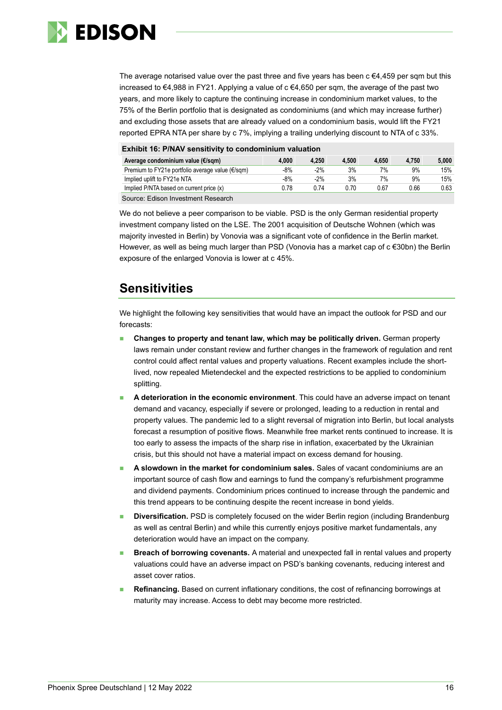

The average notarised value over the past three and five years has been  $c \in 4,459$  per sqm but this increased to €4,988 in FY21. Applying a value of c €4,650 per sqm, the average of the past two years, and more likely to capture the continuing increase in condominium market values, to the 75% of the Berlin portfolio that is designated as condominiums (and which may increase further) and excluding those assets that are already valued on a condominium basis, would lift the FY21 reported EPRA NTA per share by c 7%, implying a trailing underlying discount to NTA of c 33%.

| <b>Exhibit 16: P/NAV sensitivity to condominium valuation</b>                            |       |       |       |       |       |       |  |  |  |
|------------------------------------------------------------------------------------------|-------|-------|-------|-------|-------|-------|--|--|--|
| Average condominium value (€/sqm)                                                        | 4.000 | 4.250 | 4.500 | 4.650 | 4.750 | 5.000 |  |  |  |
| Premium to FY21e portfolio average value ( $\epsilon$ /sqm)                              | -8%   | $-2%$ | 3%    | 7%    | 9%    | 15%   |  |  |  |
| Implied uplift to FY21e NTA                                                              | -8%   | $-2%$ | 3%    | 7%    | 9%    | 15%   |  |  |  |
| Implied P/NTA based on current price (x)<br>0.78<br>0.63<br>0.66<br>0.70<br>0.67<br>0.74 |       |       |       |       |       |       |  |  |  |
|                                                                                          |       |       |       |       |       |       |  |  |  |

Source: Edison Investment Research

We do not believe a peer comparison to be viable. PSD is the only German residential property investment company listed on the LSE. The 2001 acquisition of Deutsche Wohnen (which was majority invested in Berlin) by Vonovia was a significant vote of confidence in the Berlin market. However, as well as being much larger than PSD (Vonovia has a market cap of c €30bn) the Berlin exposure of the enlarged Vonovia is lower at c 45%.

### **Sensitivities**

We highlight the following key sensitivities that would have an impact the outlook for PSD and our forecasts:

- **Changes to property and tenant law, which may be politically driven.** German property laws remain under constant review and further changes in the framework of regulation and rent control could affect rental values and property valuations. Recent examples include the shortlived, now repealed Mietendeckel and the expected restrictions to be applied to condominium splitting.
- ◼ **A deterioration in the economic environment**. This could have an adverse impact on tenant demand and vacancy, especially if severe or prolonged, leading to a reduction in rental and property values. The pandemic led to a slight reversal of migration into Berlin, but local analysts forecast a resumption of positive flows. Meanwhile free market rents continued to increase. It is too early to assess the impacts of the sharp rise in inflation, exacerbated by the Ukrainian crisis, but this should not have a material impact on excess demand for housing.
- ◼ **A slowdown in the market for condominium sales.** Sales of vacant condominiums are an important source of cash flow and earnings to fund the company's refurbishment programme and dividend payments. Condominium prices continued to increase through the pandemic and this trend appears to be continuing despite the recent increase in bond yields.
- ◼ **Diversification.** PSD is completely focused on the wider Berlin region (including Brandenburg as well as central Berlin) and while this currently enjoys positive market fundamentals, any deterioration would have an impact on the company.
- ◼ **Breach of borrowing covenants.** A material and unexpected fall in rental values and property valuations could have an adverse impact on PSD's banking covenants, reducing interest and asset cover ratios.
- **Refinancing.** Based on current inflationary conditions, the cost of refinancing borrowings at maturity may increase. Access to debt may become more restricted.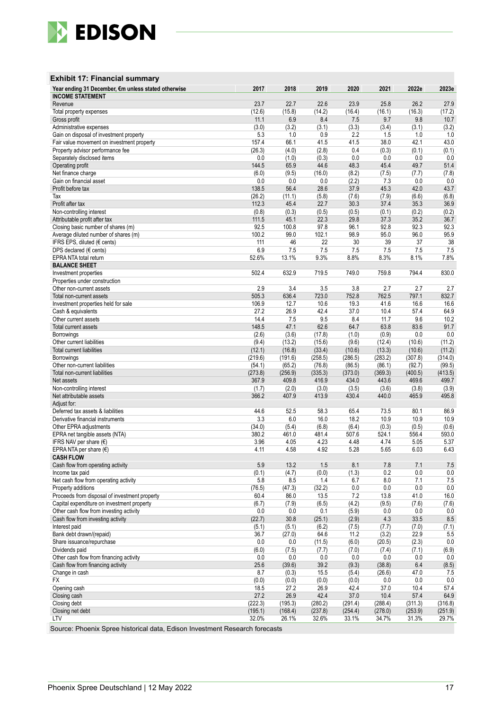

### **Exhibit 17: Financial summary**

| Revenue<br>23.7<br>22.7<br>22.6<br>23.9<br>25.8<br>26.2<br>27.9<br>(15.8)<br>(14.2)<br>(16.3)<br>Total property expenses<br>(12.6)<br>(16.4)<br>(16.1)<br>(17.2)<br>9.8<br>Gross profit<br>11.1<br>6.9<br>8.4<br>7.5<br>9.7<br>10.7<br>(3.0)<br>(3.2)<br>(3.1)<br>(3.3)<br>Administrative expenses<br>(3.4)<br>(3.1)<br>(3.2)<br>Gain on disposal of investment property<br>5.3<br>1.0<br>0.9<br>2.2<br>1.0<br>1.5<br>1.0<br>38.0<br>43.0<br>157.4<br>66.1<br>41.5<br>41.5<br>42.1<br>Fair value movement on investment property<br>(4.0)<br>(2.8)<br>0.4<br>(0.3)<br>(0.1)<br>Property advisor performance fee<br>(26.3)<br>(0.1)<br>0.0<br>(1.0)<br>(0.3)<br>0.0<br>0.0<br>0.0<br>0.0<br>Separately disclosed items<br>48.3<br>51.4<br>Operating profit<br>144.5<br>65.9<br>44.6<br>45.4<br>49.7<br>Net finance charge<br>(6.0)<br>(9.5)<br>(16.0)<br>(8.2)<br>(7.5)<br>(7.7)<br>(7.8)<br>0.0<br>0.0<br>0.0<br>(2.2)<br>7.3<br>0.0<br>0.0<br>Gain on financial asset<br>56.4<br>28.6<br>37.9<br>45.3<br>42.0<br>43.7<br>Profit before tax<br>138.5<br>(6.8)<br>(26.2)<br>(11.1)<br>(5.8)<br>(7.6)<br>(7.9)<br>(6.6)<br>Tax<br>45.4<br>30.3<br>36.9<br>Profit after tax<br>112.3<br>22.7<br>37.4<br>35.3<br>Non-controlling interest<br>(0.8)<br>(0.3)<br>(0.5)<br>(0.5)<br>(0.1)<br>(0.2)<br>(0.2)<br>36.7<br>Attributable profit after tax<br>111.5<br>45.1<br>22.3<br>29.8<br>37.3<br>35.2<br>92.5<br>97.8<br>92.3<br>Closing basic number of shares (m)<br>100.8<br>96.1<br>92.8<br>92.3<br>95.9<br>100.2<br>99.0<br>102.1<br>98.9<br>96.0<br>Average diluted number of shares (m)<br>95.0<br>IFRS EPS, diluted (€ cents)<br>111<br>46<br>22<br>30<br>39<br>37<br>38<br>7.5<br>6.9<br>7.5<br>7.5<br>7.5<br>7.5<br>7.5<br>DPS declared ( $\epsilon$ cents)<br>9.3%<br>7.8%<br>52.6%<br>13.1%<br>8.8%<br>8.3%<br>8.1%<br>EPRA NTA total return<br><b>BALANCE SHEET</b><br>632.9<br>794.4<br>502.4<br>719.5<br>749.0<br>759.8<br>830.0<br>Investment properties<br>Properties under construction<br>2.9<br>3.4<br>3.5<br>2.7<br>2.7<br>Other non-current assets<br>3.8<br>2.7<br>505.3<br>762.5<br>797.1<br>832.7<br>636.4<br>723.0<br>752.8<br>Total non-current assets<br>106.9<br>12.7<br>10.6<br>19.3<br>41.6<br>16.6<br>16.6<br>Investment properties held for sale<br>42.4<br>37.0<br>57.4<br>64.9<br>Cash & equivalents<br>27.2<br>26.9<br>10.4<br>14.4<br>9.5<br>8.4<br>11.7<br>9.6<br>Other current assets<br>7.5<br>10.2<br>148.5<br>62.6<br>91.7<br>47.1<br>64.7<br>63.8<br>83.6<br>Total current assets<br>(1.0)<br>(0.9)<br>0.0<br>(2.6)<br>(3.6)<br>(17.8)<br>0.0<br>Borrowings<br>(13.2)<br>(15.6)<br>(9.6)<br>(10.6)<br>(11.2)<br>Other current liabilities<br>(9.4)<br>(12.4)<br>(16.8)<br>(33.4)<br>(13.3)<br>(10.6)<br>(11.2)<br>Total current liabilities<br>(12.1)<br>(10.6)<br>(286.5)<br>(283.2)<br>Borrowings<br>(219.6)<br>(191.6)<br>(258.5)<br>(307.8)<br>(314.0)<br>Other non-current liabilities<br>(54.1)<br>(65.2)<br>(76.8)<br>(86.5)<br>(86.1)<br>(92.7)<br>(99.5)<br>(256.9)<br>Total non-current liabilities<br>(273.8)<br>(335.3)<br>(373.0)<br>(369.3)<br>(400.5)<br>(413.5)<br>367.9<br>409.8<br>416.9<br>434.0<br>443.6<br>469.6<br>499.7<br>Net assets<br>(1.7)<br>(2.0)<br>(3.0)<br>(3.5)<br>(3.6)<br>(3.8)<br>(3.9)<br>Non-controlling interest<br>366.2<br>407.9<br>413.9<br>465.9<br>Net attributable assets<br>430.4<br>440.0<br>495.8<br>Adjust for:<br>44.6<br>Deferred tax assets & liabilities<br>52.5<br>58.3<br>65.4<br>73.5<br>80.1<br>86.9<br>3.3<br>6.0<br>18.2<br>10.9<br>Derivative financial instruments<br>16.0<br>10.9<br>10.9<br>(0.3)<br>(34.0)<br>(5.4)<br>(6.8)<br>(6.4)<br>(0.5)<br>(0.6)<br>Other EPRA adjustments<br>EPRA net tangible assets (NTA)<br>380.2<br>461.0<br>481.4<br>507.6<br>524.1<br>556.4<br>593.0<br>IFRS NAV per share $(\epsilon)$<br>3.96<br>4.05<br>4.23<br>4.48<br>4.74<br>5.05<br>5.37<br>4.92<br>EPRA NTA per share $(\epsilon)$<br>4.11<br>4.58<br>5.28<br>5.65<br>6.03<br>6.43<br><b>CASH FLOW</b><br>5.9<br>13.2<br>1.5<br>8.1<br>7.8<br>7.1<br>Cash flow from operating activity<br>7.5<br>0.2<br>(0.1)<br>(4.7)<br>(0.0)<br>(1.3)<br>0.0<br>0.0<br>Income tax paid<br>Net cash flow from operating activity<br>5.8<br>8.5<br>1.4<br>6.7<br>8.0<br>7.1<br>7.5<br>0.0<br>Property additions<br>(47.3)<br>(32.2)<br>0.0<br>0.0<br>0.0<br>(76.5)<br>Proceeds from disposal of investment property<br>7.2<br>16.0<br>60.4<br>86.0<br>13.5<br>13.8<br>41.0<br>Capital expenditure on investment property<br>(4.2)<br>(7.6)<br>(6.7)<br>(6.5)<br>(9.5)<br>(7.6)<br>(7.9)<br>Other cash flow from investing activity<br>0.0<br>0.0<br>0.1<br>(5.9)<br>0.0<br>0.0<br>0.0<br>$8.5\,$<br>Cash flow from investing activity<br>(22.7)<br>30.8<br>(25.1)<br>(2.9)<br>4.3<br>33.5<br>Interest paid<br>(6.2)<br>(5.1)<br>(5.1)<br>(7.5)<br>(7.7)<br>(7.0)<br>(7.1)<br>Bank debt drawn/(repaid)<br>5.5<br>36.7<br>(27.0)<br>64.6<br>11.2<br>(3.2)<br>22.9<br>Share issuance/repurchase<br>0.0<br>0.0<br>(11.5)<br>(6.0)<br>(2.3)<br>0.0<br>(20.5)<br>Dividends paid<br>(6.9)<br>(6.0)<br>(7.5)<br>(7.7)<br>(7.0)<br>(7.4)<br>(7.1)<br>Other cash flow from financing activity<br>0.0<br>0.0<br>0.0<br>0.0<br>0.0<br>0.0<br>0.0<br>(39.6)<br>39.2<br>Cash flow from financing activity<br>25.6<br>(9.3)<br>(38.8)<br>6.4<br>(8.5)<br>8.7<br>(0.3)<br>15.5<br>(5.4)<br>(26.6)<br>47.0<br>7.5<br>Change in cash<br><b>FX</b><br>0.0<br>0.0<br>(0.0)<br>(0.0)<br>(0.0)<br>(0.0)<br>0.0<br>Opening cash<br>18.5<br>27.2<br>26.9<br>42.4<br>37.0<br>10.4<br>57.4<br>64.9<br>Closing cash<br>27.2<br>26.9<br>42.4<br>37.0<br>10.4<br>57.4<br>Closing debt<br>(222.3)<br>(195.3)<br>(280.2)<br>(291.4)<br>(288.4)<br>(311.3)<br>(316.8)<br>Closing net debt<br>(195.1)<br>(254.4)<br>(168.4)<br>(237.8)<br>(278.0)<br>(253.9)<br>(251.9)<br>32.0%<br>26.1%<br>32.6%<br>33.1%<br>34.7%<br>LTV<br>31.3%<br>29.7% | Year ending 31 December, €m unless stated otherwise | 2017 | 2018 | 2019 | 2020 | 2021 | 2022e | 2023e |
|-----------------------------------------------------------------------------------------------------------------------------------------------------------------------------------------------------------------------------------------------------------------------------------------------------------------------------------------------------------------------------------------------------------------------------------------------------------------------------------------------------------------------------------------------------------------------------------------------------------------------------------------------------------------------------------------------------------------------------------------------------------------------------------------------------------------------------------------------------------------------------------------------------------------------------------------------------------------------------------------------------------------------------------------------------------------------------------------------------------------------------------------------------------------------------------------------------------------------------------------------------------------------------------------------------------------------------------------------------------------------------------------------------------------------------------------------------------------------------------------------------------------------------------------------------------------------------------------------------------------------------------------------------------------------------------------------------------------------------------------------------------------------------------------------------------------------------------------------------------------------------------------------------------------------------------------------------------------------------------------------------------------------------------------------------------------------------------------------------------------------------------------------------------------------------------------------------------------------------------------------------------------------------------------------------------------------------------------------------------------------------------------------------------------------------------------------------------------------------------------------------------------------------------------------------------------------------------------------------------------------------------------------------------------------------------------------------------------------------------------------------------------------------------------------------------------------------------------------------------------------------------------------------------------------------------------------------------------------------------------------------------------------------------------------------------------------------------------------------------------------------------------------------------------------------------------------------------------------------------------------------------------------------------------------------------------------------------------------------------------------------------------------------------------------------------------------------------------------------------------------------------------------------------------------------------------------------------------------------------------------------------------------------------------------------------------------------------------------------------------------------------------------------------------------------------------------------------------------------------------------------------------------------------------------------------------------------------------------------------------------------------------------------------------------------------------------------------------------------------------------------------------------------------------------------------------------------------------------------------------------------------------------------------------------------------------------------------------------------------------------------------------------------------------------------------------------------------------------------------------------------------------------------------------------------------------------------------------------------------------------------------------------------------------------------------------------------------------------------------------------------------------------------------------------------------------------------------------------------------------------------------------------------------------------------------------------------------------------------------------------------------------------------------------------------------------------------------------------------------------------------------------------------------------------------------------------------------------------------------------------------------------------------------------------------------------------------------------------------------------------------------------------------------------------------------------------------------------------------------------------------------------------------------------------------------------------------------------------------------------------------------------------------------------------------------------------------------------------------------------------------------------------------------------------------------------------------------------------------------------------------------------|-----------------------------------------------------|------|------|------|------|------|-------|-------|
|                                                                                                                                                                                                                                                                                                                                                                                                                                                                                                                                                                                                                                                                                                                                                                                                                                                                                                                                                                                                                                                                                                                                                                                                                                                                                                                                                                                                                                                                                                                                                                                                                                                                                                                                                                                                                                                                                                                                                                                                                                                                                                                                                                                                                                                                                                                                                                                                                                                                                                                                                                                                                                                                                                                                                                                                                                                                                                                                                                                                                                                                                                                                                                                                                                                                                                                                                                                                                                                                                                                                                                                                                                                                                                                                                                                                                                                                                                                                                                                                                                                                                                                                                                                                                                                                                                                                                                                                                                                                                                                                                                                                                                                                                                                                                                                                                                                                                                                                                                                                                                                                                                                                                                                                                                                                                                                                                                                                                                                                                                                                                                                                                                                                                                                                                                                                                                                                                         | <b>INCOME STATEMENT</b>                             |      |      |      |      |      |       |       |
|                                                                                                                                                                                                                                                                                                                                                                                                                                                                                                                                                                                                                                                                                                                                                                                                                                                                                                                                                                                                                                                                                                                                                                                                                                                                                                                                                                                                                                                                                                                                                                                                                                                                                                                                                                                                                                                                                                                                                                                                                                                                                                                                                                                                                                                                                                                                                                                                                                                                                                                                                                                                                                                                                                                                                                                                                                                                                                                                                                                                                                                                                                                                                                                                                                                                                                                                                                                                                                                                                                                                                                                                                                                                                                                                                                                                                                                                                                                                                                                                                                                                                                                                                                                                                                                                                                                                                                                                                                                                                                                                                                                                                                                                                                                                                                                                                                                                                                                                                                                                                                                                                                                                                                                                                                                                                                                                                                                                                                                                                                                                                                                                                                                                                                                                                                                                                                                                                         |                                                     |      |      |      |      |      |       |       |
|                                                                                                                                                                                                                                                                                                                                                                                                                                                                                                                                                                                                                                                                                                                                                                                                                                                                                                                                                                                                                                                                                                                                                                                                                                                                                                                                                                                                                                                                                                                                                                                                                                                                                                                                                                                                                                                                                                                                                                                                                                                                                                                                                                                                                                                                                                                                                                                                                                                                                                                                                                                                                                                                                                                                                                                                                                                                                                                                                                                                                                                                                                                                                                                                                                                                                                                                                                                                                                                                                                                                                                                                                                                                                                                                                                                                                                                                                                                                                                                                                                                                                                                                                                                                                                                                                                                                                                                                                                                                                                                                                                                                                                                                                                                                                                                                                                                                                                                                                                                                                                                                                                                                                                                                                                                                                                                                                                                                                                                                                                                                                                                                                                                                                                                                                                                                                                                                                         |                                                     |      |      |      |      |      |       |       |
|                                                                                                                                                                                                                                                                                                                                                                                                                                                                                                                                                                                                                                                                                                                                                                                                                                                                                                                                                                                                                                                                                                                                                                                                                                                                                                                                                                                                                                                                                                                                                                                                                                                                                                                                                                                                                                                                                                                                                                                                                                                                                                                                                                                                                                                                                                                                                                                                                                                                                                                                                                                                                                                                                                                                                                                                                                                                                                                                                                                                                                                                                                                                                                                                                                                                                                                                                                                                                                                                                                                                                                                                                                                                                                                                                                                                                                                                                                                                                                                                                                                                                                                                                                                                                                                                                                                                                                                                                                                                                                                                                                                                                                                                                                                                                                                                                                                                                                                                                                                                                                                                                                                                                                                                                                                                                                                                                                                                                                                                                                                                                                                                                                                                                                                                                                                                                                                                                         |                                                     |      |      |      |      |      |       |       |
|                                                                                                                                                                                                                                                                                                                                                                                                                                                                                                                                                                                                                                                                                                                                                                                                                                                                                                                                                                                                                                                                                                                                                                                                                                                                                                                                                                                                                                                                                                                                                                                                                                                                                                                                                                                                                                                                                                                                                                                                                                                                                                                                                                                                                                                                                                                                                                                                                                                                                                                                                                                                                                                                                                                                                                                                                                                                                                                                                                                                                                                                                                                                                                                                                                                                                                                                                                                                                                                                                                                                                                                                                                                                                                                                                                                                                                                                                                                                                                                                                                                                                                                                                                                                                                                                                                                                                                                                                                                                                                                                                                                                                                                                                                                                                                                                                                                                                                                                                                                                                                                                                                                                                                                                                                                                                                                                                                                                                                                                                                                                                                                                                                                                                                                                                                                                                                                                                         |                                                     |      |      |      |      |      |       |       |
|                                                                                                                                                                                                                                                                                                                                                                                                                                                                                                                                                                                                                                                                                                                                                                                                                                                                                                                                                                                                                                                                                                                                                                                                                                                                                                                                                                                                                                                                                                                                                                                                                                                                                                                                                                                                                                                                                                                                                                                                                                                                                                                                                                                                                                                                                                                                                                                                                                                                                                                                                                                                                                                                                                                                                                                                                                                                                                                                                                                                                                                                                                                                                                                                                                                                                                                                                                                                                                                                                                                                                                                                                                                                                                                                                                                                                                                                                                                                                                                                                                                                                                                                                                                                                                                                                                                                                                                                                                                                                                                                                                                                                                                                                                                                                                                                                                                                                                                                                                                                                                                                                                                                                                                                                                                                                                                                                                                                                                                                                                                                                                                                                                                                                                                                                                                                                                                                                         |                                                     |      |      |      |      |      |       |       |
|                                                                                                                                                                                                                                                                                                                                                                                                                                                                                                                                                                                                                                                                                                                                                                                                                                                                                                                                                                                                                                                                                                                                                                                                                                                                                                                                                                                                                                                                                                                                                                                                                                                                                                                                                                                                                                                                                                                                                                                                                                                                                                                                                                                                                                                                                                                                                                                                                                                                                                                                                                                                                                                                                                                                                                                                                                                                                                                                                                                                                                                                                                                                                                                                                                                                                                                                                                                                                                                                                                                                                                                                                                                                                                                                                                                                                                                                                                                                                                                                                                                                                                                                                                                                                                                                                                                                                                                                                                                                                                                                                                                                                                                                                                                                                                                                                                                                                                                                                                                                                                                                                                                                                                                                                                                                                                                                                                                                                                                                                                                                                                                                                                                                                                                                                                                                                                                                                         |                                                     |      |      |      |      |      |       |       |
|                                                                                                                                                                                                                                                                                                                                                                                                                                                                                                                                                                                                                                                                                                                                                                                                                                                                                                                                                                                                                                                                                                                                                                                                                                                                                                                                                                                                                                                                                                                                                                                                                                                                                                                                                                                                                                                                                                                                                                                                                                                                                                                                                                                                                                                                                                                                                                                                                                                                                                                                                                                                                                                                                                                                                                                                                                                                                                                                                                                                                                                                                                                                                                                                                                                                                                                                                                                                                                                                                                                                                                                                                                                                                                                                                                                                                                                                                                                                                                                                                                                                                                                                                                                                                                                                                                                                                                                                                                                                                                                                                                                                                                                                                                                                                                                                                                                                                                                                                                                                                                                                                                                                                                                                                                                                                                                                                                                                                                                                                                                                                                                                                                                                                                                                                                                                                                                                                         |                                                     |      |      |      |      |      |       |       |
|                                                                                                                                                                                                                                                                                                                                                                                                                                                                                                                                                                                                                                                                                                                                                                                                                                                                                                                                                                                                                                                                                                                                                                                                                                                                                                                                                                                                                                                                                                                                                                                                                                                                                                                                                                                                                                                                                                                                                                                                                                                                                                                                                                                                                                                                                                                                                                                                                                                                                                                                                                                                                                                                                                                                                                                                                                                                                                                                                                                                                                                                                                                                                                                                                                                                                                                                                                                                                                                                                                                                                                                                                                                                                                                                                                                                                                                                                                                                                                                                                                                                                                                                                                                                                                                                                                                                                                                                                                                                                                                                                                                                                                                                                                                                                                                                                                                                                                                                                                                                                                                                                                                                                                                                                                                                                                                                                                                                                                                                                                                                                                                                                                                                                                                                                                                                                                                                                         |                                                     |      |      |      |      |      |       |       |
|                                                                                                                                                                                                                                                                                                                                                                                                                                                                                                                                                                                                                                                                                                                                                                                                                                                                                                                                                                                                                                                                                                                                                                                                                                                                                                                                                                                                                                                                                                                                                                                                                                                                                                                                                                                                                                                                                                                                                                                                                                                                                                                                                                                                                                                                                                                                                                                                                                                                                                                                                                                                                                                                                                                                                                                                                                                                                                                                                                                                                                                                                                                                                                                                                                                                                                                                                                                                                                                                                                                                                                                                                                                                                                                                                                                                                                                                                                                                                                                                                                                                                                                                                                                                                                                                                                                                                                                                                                                                                                                                                                                                                                                                                                                                                                                                                                                                                                                                                                                                                                                                                                                                                                                                                                                                                                                                                                                                                                                                                                                                                                                                                                                                                                                                                                                                                                                                                         |                                                     |      |      |      |      |      |       |       |
|                                                                                                                                                                                                                                                                                                                                                                                                                                                                                                                                                                                                                                                                                                                                                                                                                                                                                                                                                                                                                                                                                                                                                                                                                                                                                                                                                                                                                                                                                                                                                                                                                                                                                                                                                                                                                                                                                                                                                                                                                                                                                                                                                                                                                                                                                                                                                                                                                                                                                                                                                                                                                                                                                                                                                                                                                                                                                                                                                                                                                                                                                                                                                                                                                                                                                                                                                                                                                                                                                                                                                                                                                                                                                                                                                                                                                                                                                                                                                                                                                                                                                                                                                                                                                                                                                                                                                                                                                                                                                                                                                                                                                                                                                                                                                                                                                                                                                                                                                                                                                                                                                                                                                                                                                                                                                                                                                                                                                                                                                                                                                                                                                                                                                                                                                                                                                                                                                         |                                                     |      |      |      |      |      |       |       |
|                                                                                                                                                                                                                                                                                                                                                                                                                                                                                                                                                                                                                                                                                                                                                                                                                                                                                                                                                                                                                                                                                                                                                                                                                                                                                                                                                                                                                                                                                                                                                                                                                                                                                                                                                                                                                                                                                                                                                                                                                                                                                                                                                                                                                                                                                                                                                                                                                                                                                                                                                                                                                                                                                                                                                                                                                                                                                                                                                                                                                                                                                                                                                                                                                                                                                                                                                                                                                                                                                                                                                                                                                                                                                                                                                                                                                                                                                                                                                                                                                                                                                                                                                                                                                                                                                                                                                                                                                                                                                                                                                                                                                                                                                                                                                                                                                                                                                                                                                                                                                                                                                                                                                                                                                                                                                                                                                                                                                                                                                                                                                                                                                                                                                                                                                                                                                                                                                         |                                                     |      |      |      |      |      |       |       |
|                                                                                                                                                                                                                                                                                                                                                                                                                                                                                                                                                                                                                                                                                                                                                                                                                                                                                                                                                                                                                                                                                                                                                                                                                                                                                                                                                                                                                                                                                                                                                                                                                                                                                                                                                                                                                                                                                                                                                                                                                                                                                                                                                                                                                                                                                                                                                                                                                                                                                                                                                                                                                                                                                                                                                                                                                                                                                                                                                                                                                                                                                                                                                                                                                                                                                                                                                                                                                                                                                                                                                                                                                                                                                                                                                                                                                                                                                                                                                                                                                                                                                                                                                                                                                                                                                                                                                                                                                                                                                                                                                                                                                                                                                                                                                                                                                                                                                                                                                                                                                                                                                                                                                                                                                                                                                                                                                                                                                                                                                                                                                                                                                                                                                                                                                                                                                                                                                         |                                                     |      |      |      |      |      |       |       |
|                                                                                                                                                                                                                                                                                                                                                                                                                                                                                                                                                                                                                                                                                                                                                                                                                                                                                                                                                                                                                                                                                                                                                                                                                                                                                                                                                                                                                                                                                                                                                                                                                                                                                                                                                                                                                                                                                                                                                                                                                                                                                                                                                                                                                                                                                                                                                                                                                                                                                                                                                                                                                                                                                                                                                                                                                                                                                                                                                                                                                                                                                                                                                                                                                                                                                                                                                                                                                                                                                                                                                                                                                                                                                                                                                                                                                                                                                                                                                                                                                                                                                                                                                                                                                                                                                                                                                                                                                                                                                                                                                                                                                                                                                                                                                                                                                                                                                                                                                                                                                                                                                                                                                                                                                                                                                                                                                                                                                                                                                                                                                                                                                                                                                                                                                                                                                                                                                         |                                                     |      |      |      |      |      |       |       |
|                                                                                                                                                                                                                                                                                                                                                                                                                                                                                                                                                                                                                                                                                                                                                                                                                                                                                                                                                                                                                                                                                                                                                                                                                                                                                                                                                                                                                                                                                                                                                                                                                                                                                                                                                                                                                                                                                                                                                                                                                                                                                                                                                                                                                                                                                                                                                                                                                                                                                                                                                                                                                                                                                                                                                                                                                                                                                                                                                                                                                                                                                                                                                                                                                                                                                                                                                                                                                                                                                                                                                                                                                                                                                                                                                                                                                                                                                                                                                                                                                                                                                                                                                                                                                                                                                                                                                                                                                                                                                                                                                                                                                                                                                                                                                                                                                                                                                                                                                                                                                                                                                                                                                                                                                                                                                                                                                                                                                                                                                                                                                                                                                                                                                                                                                                                                                                                                                         |                                                     |      |      |      |      |      |       |       |
|                                                                                                                                                                                                                                                                                                                                                                                                                                                                                                                                                                                                                                                                                                                                                                                                                                                                                                                                                                                                                                                                                                                                                                                                                                                                                                                                                                                                                                                                                                                                                                                                                                                                                                                                                                                                                                                                                                                                                                                                                                                                                                                                                                                                                                                                                                                                                                                                                                                                                                                                                                                                                                                                                                                                                                                                                                                                                                                                                                                                                                                                                                                                                                                                                                                                                                                                                                                                                                                                                                                                                                                                                                                                                                                                                                                                                                                                                                                                                                                                                                                                                                                                                                                                                                                                                                                                                                                                                                                                                                                                                                                                                                                                                                                                                                                                                                                                                                                                                                                                                                                                                                                                                                                                                                                                                                                                                                                                                                                                                                                                                                                                                                                                                                                                                                                                                                                                                         |                                                     |      |      |      |      |      |       |       |
|                                                                                                                                                                                                                                                                                                                                                                                                                                                                                                                                                                                                                                                                                                                                                                                                                                                                                                                                                                                                                                                                                                                                                                                                                                                                                                                                                                                                                                                                                                                                                                                                                                                                                                                                                                                                                                                                                                                                                                                                                                                                                                                                                                                                                                                                                                                                                                                                                                                                                                                                                                                                                                                                                                                                                                                                                                                                                                                                                                                                                                                                                                                                                                                                                                                                                                                                                                                                                                                                                                                                                                                                                                                                                                                                                                                                                                                                                                                                                                                                                                                                                                                                                                                                                                                                                                                                                                                                                                                                                                                                                                                                                                                                                                                                                                                                                                                                                                                                                                                                                                                                                                                                                                                                                                                                                                                                                                                                                                                                                                                                                                                                                                                                                                                                                                                                                                                                                         |                                                     |      |      |      |      |      |       |       |
|                                                                                                                                                                                                                                                                                                                                                                                                                                                                                                                                                                                                                                                                                                                                                                                                                                                                                                                                                                                                                                                                                                                                                                                                                                                                                                                                                                                                                                                                                                                                                                                                                                                                                                                                                                                                                                                                                                                                                                                                                                                                                                                                                                                                                                                                                                                                                                                                                                                                                                                                                                                                                                                                                                                                                                                                                                                                                                                                                                                                                                                                                                                                                                                                                                                                                                                                                                                                                                                                                                                                                                                                                                                                                                                                                                                                                                                                                                                                                                                                                                                                                                                                                                                                                                                                                                                                                                                                                                                                                                                                                                                                                                                                                                                                                                                                                                                                                                                                                                                                                                                                                                                                                                                                                                                                                                                                                                                                                                                                                                                                                                                                                                                                                                                                                                                                                                                                                         |                                                     |      |      |      |      |      |       |       |
|                                                                                                                                                                                                                                                                                                                                                                                                                                                                                                                                                                                                                                                                                                                                                                                                                                                                                                                                                                                                                                                                                                                                                                                                                                                                                                                                                                                                                                                                                                                                                                                                                                                                                                                                                                                                                                                                                                                                                                                                                                                                                                                                                                                                                                                                                                                                                                                                                                                                                                                                                                                                                                                                                                                                                                                                                                                                                                                                                                                                                                                                                                                                                                                                                                                                                                                                                                                                                                                                                                                                                                                                                                                                                                                                                                                                                                                                                                                                                                                                                                                                                                                                                                                                                                                                                                                                                                                                                                                                                                                                                                                                                                                                                                                                                                                                                                                                                                                                                                                                                                                                                                                                                                                                                                                                                                                                                                                                                                                                                                                                                                                                                                                                                                                                                                                                                                                                                         |                                                     |      |      |      |      |      |       |       |
|                                                                                                                                                                                                                                                                                                                                                                                                                                                                                                                                                                                                                                                                                                                                                                                                                                                                                                                                                                                                                                                                                                                                                                                                                                                                                                                                                                                                                                                                                                                                                                                                                                                                                                                                                                                                                                                                                                                                                                                                                                                                                                                                                                                                                                                                                                                                                                                                                                                                                                                                                                                                                                                                                                                                                                                                                                                                                                                                                                                                                                                                                                                                                                                                                                                                                                                                                                                                                                                                                                                                                                                                                                                                                                                                                                                                                                                                                                                                                                                                                                                                                                                                                                                                                                                                                                                                                                                                                                                                                                                                                                                                                                                                                                                                                                                                                                                                                                                                                                                                                                                                                                                                                                                                                                                                                                                                                                                                                                                                                                                                                                                                                                                                                                                                                                                                                                                                                         |                                                     |      |      |      |      |      |       |       |
|                                                                                                                                                                                                                                                                                                                                                                                                                                                                                                                                                                                                                                                                                                                                                                                                                                                                                                                                                                                                                                                                                                                                                                                                                                                                                                                                                                                                                                                                                                                                                                                                                                                                                                                                                                                                                                                                                                                                                                                                                                                                                                                                                                                                                                                                                                                                                                                                                                                                                                                                                                                                                                                                                                                                                                                                                                                                                                                                                                                                                                                                                                                                                                                                                                                                                                                                                                                                                                                                                                                                                                                                                                                                                                                                                                                                                                                                                                                                                                                                                                                                                                                                                                                                                                                                                                                                                                                                                                                                                                                                                                                                                                                                                                                                                                                                                                                                                                                                                                                                                                                                                                                                                                                                                                                                                                                                                                                                                                                                                                                                                                                                                                                                                                                                                                                                                                                                                         |                                                     |      |      |      |      |      |       |       |
|                                                                                                                                                                                                                                                                                                                                                                                                                                                                                                                                                                                                                                                                                                                                                                                                                                                                                                                                                                                                                                                                                                                                                                                                                                                                                                                                                                                                                                                                                                                                                                                                                                                                                                                                                                                                                                                                                                                                                                                                                                                                                                                                                                                                                                                                                                                                                                                                                                                                                                                                                                                                                                                                                                                                                                                                                                                                                                                                                                                                                                                                                                                                                                                                                                                                                                                                                                                                                                                                                                                                                                                                                                                                                                                                                                                                                                                                                                                                                                                                                                                                                                                                                                                                                                                                                                                                                                                                                                                                                                                                                                                                                                                                                                                                                                                                                                                                                                                                                                                                                                                                                                                                                                                                                                                                                                                                                                                                                                                                                                                                                                                                                                                                                                                                                                                                                                                                                         |                                                     |      |      |      |      |      |       |       |
|                                                                                                                                                                                                                                                                                                                                                                                                                                                                                                                                                                                                                                                                                                                                                                                                                                                                                                                                                                                                                                                                                                                                                                                                                                                                                                                                                                                                                                                                                                                                                                                                                                                                                                                                                                                                                                                                                                                                                                                                                                                                                                                                                                                                                                                                                                                                                                                                                                                                                                                                                                                                                                                                                                                                                                                                                                                                                                                                                                                                                                                                                                                                                                                                                                                                                                                                                                                                                                                                                                                                                                                                                                                                                                                                                                                                                                                                                                                                                                                                                                                                                                                                                                                                                                                                                                                                                                                                                                                                                                                                                                                                                                                                                                                                                                                                                                                                                                                                                                                                                                                                                                                                                                                                                                                                                                                                                                                                                                                                                                                                                                                                                                                                                                                                                                                                                                                                                         |                                                     |      |      |      |      |      |       |       |
|                                                                                                                                                                                                                                                                                                                                                                                                                                                                                                                                                                                                                                                                                                                                                                                                                                                                                                                                                                                                                                                                                                                                                                                                                                                                                                                                                                                                                                                                                                                                                                                                                                                                                                                                                                                                                                                                                                                                                                                                                                                                                                                                                                                                                                                                                                                                                                                                                                                                                                                                                                                                                                                                                                                                                                                                                                                                                                                                                                                                                                                                                                                                                                                                                                                                                                                                                                                                                                                                                                                                                                                                                                                                                                                                                                                                                                                                                                                                                                                                                                                                                                                                                                                                                                                                                                                                                                                                                                                                                                                                                                                                                                                                                                                                                                                                                                                                                                                                                                                                                                                                                                                                                                                                                                                                                                                                                                                                                                                                                                                                                                                                                                                                                                                                                                                                                                                                                         |                                                     |      |      |      |      |      |       |       |
|                                                                                                                                                                                                                                                                                                                                                                                                                                                                                                                                                                                                                                                                                                                                                                                                                                                                                                                                                                                                                                                                                                                                                                                                                                                                                                                                                                                                                                                                                                                                                                                                                                                                                                                                                                                                                                                                                                                                                                                                                                                                                                                                                                                                                                                                                                                                                                                                                                                                                                                                                                                                                                                                                                                                                                                                                                                                                                                                                                                                                                                                                                                                                                                                                                                                                                                                                                                                                                                                                                                                                                                                                                                                                                                                                                                                                                                                                                                                                                                                                                                                                                                                                                                                                                                                                                                                                                                                                                                                                                                                                                                                                                                                                                                                                                                                                                                                                                                                                                                                                                                                                                                                                                                                                                                                                                                                                                                                                                                                                                                                                                                                                                                                                                                                                                                                                                                                                         |                                                     |      |      |      |      |      |       |       |
|                                                                                                                                                                                                                                                                                                                                                                                                                                                                                                                                                                                                                                                                                                                                                                                                                                                                                                                                                                                                                                                                                                                                                                                                                                                                                                                                                                                                                                                                                                                                                                                                                                                                                                                                                                                                                                                                                                                                                                                                                                                                                                                                                                                                                                                                                                                                                                                                                                                                                                                                                                                                                                                                                                                                                                                                                                                                                                                                                                                                                                                                                                                                                                                                                                                                                                                                                                                                                                                                                                                                                                                                                                                                                                                                                                                                                                                                                                                                                                                                                                                                                                                                                                                                                                                                                                                                                                                                                                                                                                                                                                                                                                                                                                                                                                                                                                                                                                                                                                                                                                                                                                                                                                                                                                                                                                                                                                                                                                                                                                                                                                                                                                                                                                                                                                                                                                                                                         |                                                     |      |      |      |      |      |       |       |
|                                                                                                                                                                                                                                                                                                                                                                                                                                                                                                                                                                                                                                                                                                                                                                                                                                                                                                                                                                                                                                                                                                                                                                                                                                                                                                                                                                                                                                                                                                                                                                                                                                                                                                                                                                                                                                                                                                                                                                                                                                                                                                                                                                                                                                                                                                                                                                                                                                                                                                                                                                                                                                                                                                                                                                                                                                                                                                                                                                                                                                                                                                                                                                                                                                                                                                                                                                                                                                                                                                                                                                                                                                                                                                                                                                                                                                                                                                                                                                                                                                                                                                                                                                                                                                                                                                                                                                                                                                                                                                                                                                                                                                                                                                                                                                                                                                                                                                                                                                                                                                                                                                                                                                                                                                                                                                                                                                                                                                                                                                                                                                                                                                                                                                                                                                                                                                                                                         |                                                     |      |      |      |      |      |       |       |
|                                                                                                                                                                                                                                                                                                                                                                                                                                                                                                                                                                                                                                                                                                                                                                                                                                                                                                                                                                                                                                                                                                                                                                                                                                                                                                                                                                                                                                                                                                                                                                                                                                                                                                                                                                                                                                                                                                                                                                                                                                                                                                                                                                                                                                                                                                                                                                                                                                                                                                                                                                                                                                                                                                                                                                                                                                                                                                                                                                                                                                                                                                                                                                                                                                                                                                                                                                                                                                                                                                                                                                                                                                                                                                                                                                                                                                                                                                                                                                                                                                                                                                                                                                                                                                                                                                                                                                                                                                                                                                                                                                                                                                                                                                                                                                                                                                                                                                                                                                                                                                                                                                                                                                                                                                                                                                                                                                                                                                                                                                                                                                                                                                                                                                                                                                                                                                                                                         |                                                     |      |      |      |      |      |       |       |
|                                                                                                                                                                                                                                                                                                                                                                                                                                                                                                                                                                                                                                                                                                                                                                                                                                                                                                                                                                                                                                                                                                                                                                                                                                                                                                                                                                                                                                                                                                                                                                                                                                                                                                                                                                                                                                                                                                                                                                                                                                                                                                                                                                                                                                                                                                                                                                                                                                                                                                                                                                                                                                                                                                                                                                                                                                                                                                                                                                                                                                                                                                                                                                                                                                                                                                                                                                                                                                                                                                                                                                                                                                                                                                                                                                                                                                                                                                                                                                                                                                                                                                                                                                                                                                                                                                                                                                                                                                                                                                                                                                                                                                                                                                                                                                                                                                                                                                                                                                                                                                                                                                                                                                                                                                                                                                                                                                                                                                                                                                                                                                                                                                                                                                                                                                                                                                                                                         |                                                     |      |      |      |      |      |       |       |
|                                                                                                                                                                                                                                                                                                                                                                                                                                                                                                                                                                                                                                                                                                                                                                                                                                                                                                                                                                                                                                                                                                                                                                                                                                                                                                                                                                                                                                                                                                                                                                                                                                                                                                                                                                                                                                                                                                                                                                                                                                                                                                                                                                                                                                                                                                                                                                                                                                                                                                                                                                                                                                                                                                                                                                                                                                                                                                                                                                                                                                                                                                                                                                                                                                                                                                                                                                                                                                                                                                                                                                                                                                                                                                                                                                                                                                                                                                                                                                                                                                                                                                                                                                                                                                                                                                                                                                                                                                                                                                                                                                                                                                                                                                                                                                                                                                                                                                                                                                                                                                                                                                                                                                                                                                                                                                                                                                                                                                                                                                                                                                                                                                                                                                                                                                                                                                                                                         |                                                     |      |      |      |      |      |       |       |
|                                                                                                                                                                                                                                                                                                                                                                                                                                                                                                                                                                                                                                                                                                                                                                                                                                                                                                                                                                                                                                                                                                                                                                                                                                                                                                                                                                                                                                                                                                                                                                                                                                                                                                                                                                                                                                                                                                                                                                                                                                                                                                                                                                                                                                                                                                                                                                                                                                                                                                                                                                                                                                                                                                                                                                                                                                                                                                                                                                                                                                                                                                                                                                                                                                                                                                                                                                                                                                                                                                                                                                                                                                                                                                                                                                                                                                                                                                                                                                                                                                                                                                                                                                                                                                                                                                                                                                                                                                                                                                                                                                                                                                                                                                                                                                                                                                                                                                                                                                                                                                                                                                                                                                                                                                                                                                                                                                                                                                                                                                                                                                                                                                                                                                                                                                                                                                                                                         |                                                     |      |      |      |      |      |       |       |
|                                                                                                                                                                                                                                                                                                                                                                                                                                                                                                                                                                                                                                                                                                                                                                                                                                                                                                                                                                                                                                                                                                                                                                                                                                                                                                                                                                                                                                                                                                                                                                                                                                                                                                                                                                                                                                                                                                                                                                                                                                                                                                                                                                                                                                                                                                                                                                                                                                                                                                                                                                                                                                                                                                                                                                                                                                                                                                                                                                                                                                                                                                                                                                                                                                                                                                                                                                                                                                                                                                                                                                                                                                                                                                                                                                                                                                                                                                                                                                                                                                                                                                                                                                                                                                                                                                                                                                                                                                                                                                                                                                                                                                                                                                                                                                                                                                                                                                                                                                                                                                                                                                                                                                                                                                                                                                                                                                                                                                                                                                                                                                                                                                                                                                                                                                                                                                                                                         |                                                     |      |      |      |      |      |       |       |
|                                                                                                                                                                                                                                                                                                                                                                                                                                                                                                                                                                                                                                                                                                                                                                                                                                                                                                                                                                                                                                                                                                                                                                                                                                                                                                                                                                                                                                                                                                                                                                                                                                                                                                                                                                                                                                                                                                                                                                                                                                                                                                                                                                                                                                                                                                                                                                                                                                                                                                                                                                                                                                                                                                                                                                                                                                                                                                                                                                                                                                                                                                                                                                                                                                                                                                                                                                                                                                                                                                                                                                                                                                                                                                                                                                                                                                                                                                                                                                                                                                                                                                                                                                                                                                                                                                                                                                                                                                                                                                                                                                                                                                                                                                                                                                                                                                                                                                                                                                                                                                                                                                                                                                                                                                                                                                                                                                                                                                                                                                                                                                                                                                                                                                                                                                                                                                                                                         |                                                     |      |      |      |      |      |       |       |
|                                                                                                                                                                                                                                                                                                                                                                                                                                                                                                                                                                                                                                                                                                                                                                                                                                                                                                                                                                                                                                                                                                                                                                                                                                                                                                                                                                                                                                                                                                                                                                                                                                                                                                                                                                                                                                                                                                                                                                                                                                                                                                                                                                                                                                                                                                                                                                                                                                                                                                                                                                                                                                                                                                                                                                                                                                                                                                                                                                                                                                                                                                                                                                                                                                                                                                                                                                                                                                                                                                                                                                                                                                                                                                                                                                                                                                                                                                                                                                                                                                                                                                                                                                                                                                                                                                                                                                                                                                                                                                                                                                                                                                                                                                                                                                                                                                                                                                                                                                                                                                                                                                                                                                                                                                                                                                                                                                                                                                                                                                                                                                                                                                                                                                                                                                                                                                                                                         |                                                     |      |      |      |      |      |       |       |
|                                                                                                                                                                                                                                                                                                                                                                                                                                                                                                                                                                                                                                                                                                                                                                                                                                                                                                                                                                                                                                                                                                                                                                                                                                                                                                                                                                                                                                                                                                                                                                                                                                                                                                                                                                                                                                                                                                                                                                                                                                                                                                                                                                                                                                                                                                                                                                                                                                                                                                                                                                                                                                                                                                                                                                                                                                                                                                                                                                                                                                                                                                                                                                                                                                                                                                                                                                                                                                                                                                                                                                                                                                                                                                                                                                                                                                                                                                                                                                                                                                                                                                                                                                                                                                                                                                                                                                                                                                                                                                                                                                                                                                                                                                                                                                                                                                                                                                                                                                                                                                                                                                                                                                                                                                                                                                                                                                                                                                                                                                                                                                                                                                                                                                                                                                                                                                                                                         |                                                     |      |      |      |      |      |       |       |
|                                                                                                                                                                                                                                                                                                                                                                                                                                                                                                                                                                                                                                                                                                                                                                                                                                                                                                                                                                                                                                                                                                                                                                                                                                                                                                                                                                                                                                                                                                                                                                                                                                                                                                                                                                                                                                                                                                                                                                                                                                                                                                                                                                                                                                                                                                                                                                                                                                                                                                                                                                                                                                                                                                                                                                                                                                                                                                                                                                                                                                                                                                                                                                                                                                                                                                                                                                                                                                                                                                                                                                                                                                                                                                                                                                                                                                                                                                                                                                                                                                                                                                                                                                                                                                                                                                                                                                                                                                                                                                                                                                                                                                                                                                                                                                                                                                                                                                                                                                                                                                                                                                                                                                                                                                                                                                                                                                                                                                                                                                                                                                                                                                                                                                                                                                                                                                                                                         |                                                     |      |      |      |      |      |       |       |
|                                                                                                                                                                                                                                                                                                                                                                                                                                                                                                                                                                                                                                                                                                                                                                                                                                                                                                                                                                                                                                                                                                                                                                                                                                                                                                                                                                                                                                                                                                                                                                                                                                                                                                                                                                                                                                                                                                                                                                                                                                                                                                                                                                                                                                                                                                                                                                                                                                                                                                                                                                                                                                                                                                                                                                                                                                                                                                                                                                                                                                                                                                                                                                                                                                                                                                                                                                                                                                                                                                                                                                                                                                                                                                                                                                                                                                                                                                                                                                                                                                                                                                                                                                                                                                                                                                                                                                                                                                                                                                                                                                                                                                                                                                                                                                                                                                                                                                                                                                                                                                                                                                                                                                                                                                                                                                                                                                                                                                                                                                                                                                                                                                                                                                                                                                                                                                                                                         |                                                     |      |      |      |      |      |       |       |
|                                                                                                                                                                                                                                                                                                                                                                                                                                                                                                                                                                                                                                                                                                                                                                                                                                                                                                                                                                                                                                                                                                                                                                                                                                                                                                                                                                                                                                                                                                                                                                                                                                                                                                                                                                                                                                                                                                                                                                                                                                                                                                                                                                                                                                                                                                                                                                                                                                                                                                                                                                                                                                                                                                                                                                                                                                                                                                                                                                                                                                                                                                                                                                                                                                                                                                                                                                                                                                                                                                                                                                                                                                                                                                                                                                                                                                                                                                                                                                                                                                                                                                                                                                                                                                                                                                                                                                                                                                                                                                                                                                                                                                                                                                                                                                                                                                                                                                                                                                                                                                                                                                                                                                                                                                                                                                                                                                                                                                                                                                                                                                                                                                                                                                                                                                                                                                                                                         |                                                     |      |      |      |      |      |       |       |
|                                                                                                                                                                                                                                                                                                                                                                                                                                                                                                                                                                                                                                                                                                                                                                                                                                                                                                                                                                                                                                                                                                                                                                                                                                                                                                                                                                                                                                                                                                                                                                                                                                                                                                                                                                                                                                                                                                                                                                                                                                                                                                                                                                                                                                                                                                                                                                                                                                                                                                                                                                                                                                                                                                                                                                                                                                                                                                                                                                                                                                                                                                                                                                                                                                                                                                                                                                                                                                                                                                                                                                                                                                                                                                                                                                                                                                                                                                                                                                                                                                                                                                                                                                                                                                                                                                                                                                                                                                                                                                                                                                                                                                                                                                                                                                                                                                                                                                                                                                                                                                                                                                                                                                                                                                                                                                                                                                                                                                                                                                                                                                                                                                                                                                                                                                                                                                                                                         |                                                     |      |      |      |      |      |       |       |
|                                                                                                                                                                                                                                                                                                                                                                                                                                                                                                                                                                                                                                                                                                                                                                                                                                                                                                                                                                                                                                                                                                                                                                                                                                                                                                                                                                                                                                                                                                                                                                                                                                                                                                                                                                                                                                                                                                                                                                                                                                                                                                                                                                                                                                                                                                                                                                                                                                                                                                                                                                                                                                                                                                                                                                                                                                                                                                                                                                                                                                                                                                                                                                                                                                                                                                                                                                                                                                                                                                                                                                                                                                                                                                                                                                                                                                                                                                                                                                                                                                                                                                                                                                                                                                                                                                                                                                                                                                                                                                                                                                                                                                                                                                                                                                                                                                                                                                                                                                                                                                                                                                                                                                                                                                                                                                                                                                                                                                                                                                                                                                                                                                                                                                                                                                                                                                                                                         |                                                     |      |      |      |      |      |       |       |
|                                                                                                                                                                                                                                                                                                                                                                                                                                                                                                                                                                                                                                                                                                                                                                                                                                                                                                                                                                                                                                                                                                                                                                                                                                                                                                                                                                                                                                                                                                                                                                                                                                                                                                                                                                                                                                                                                                                                                                                                                                                                                                                                                                                                                                                                                                                                                                                                                                                                                                                                                                                                                                                                                                                                                                                                                                                                                                                                                                                                                                                                                                                                                                                                                                                                                                                                                                                                                                                                                                                                                                                                                                                                                                                                                                                                                                                                                                                                                                                                                                                                                                                                                                                                                                                                                                                                                                                                                                                                                                                                                                                                                                                                                                                                                                                                                                                                                                                                                                                                                                                                                                                                                                                                                                                                                                                                                                                                                                                                                                                                                                                                                                                                                                                                                                                                                                                                                         |                                                     |      |      |      |      |      |       |       |
|                                                                                                                                                                                                                                                                                                                                                                                                                                                                                                                                                                                                                                                                                                                                                                                                                                                                                                                                                                                                                                                                                                                                                                                                                                                                                                                                                                                                                                                                                                                                                                                                                                                                                                                                                                                                                                                                                                                                                                                                                                                                                                                                                                                                                                                                                                                                                                                                                                                                                                                                                                                                                                                                                                                                                                                                                                                                                                                                                                                                                                                                                                                                                                                                                                                                                                                                                                                                                                                                                                                                                                                                                                                                                                                                                                                                                                                                                                                                                                                                                                                                                                                                                                                                                                                                                                                                                                                                                                                                                                                                                                                                                                                                                                                                                                                                                                                                                                                                                                                                                                                                                                                                                                                                                                                                                                                                                                                                                                                                                                                                                                                                                                                                                                                                                                                                                                                                                         |                                                     |      |      |      |      |      |       |       |
|                                                                                                                                                                                                                                                                                                                                                                                                                                                                                                                                                                                                                                                                                                                                                                                                                                                                                                                                                                                                                                                                                                                                                                                                                                                                                                                                                                                                                                                                                                                                                                                                                                                                                                                                                                                                                                                                                                                                                                                                                                                                                                                                                                                                                                                                                                                                                                                                                                                                                                                                                                                                                                                                                                                                                                                                                                                                                                                                                                                                                                                                                                                                                                                                                                                                                                                                                                                                                                                                                                                                                                                                                                                                                                                                                                                                                                                                                                                                                                                                                                                                                                                                                                                                                                                                                                                                                                                                                                                                                                                                                                                                                                                                                                                                                                                                                                                                                                                                                                                                                                                                                                                                                                                                                                                                                                                                                                                                                                                                                                                                                                                                                                                                                                                                                                                                                                                                                         |                                                     |      |      |      |      |      |       |       |
|                                                                                                                                                                                                                                                                                                                                                                                                                                                                                                                                                                                                                                                                                                                                                                                                                                                                                                                                                                                                                                                                                                                                                                                                                                                                                                                                                                                                                                                                                                                                                                                                                                                                                                                                                                                                                                                                                                                                                                                                                                                                                                                                                                                                                                                                                                                                                                                                                                                                                                                                                                                                                                                                                                                                                                                                                                                                                                                                                                                                                                                                                                                                                                                                                                                                                                                                                                                                                                                                                                                                                                                                                                                                                                                                                                                                                                                                                                                                                                                                                                                                                                                                                                                                                                                                                                                                                                                                                                                                                                                                                                                                                                                                                                                                                                                                                                                                                                                                                                                                                                                                                                                                                                                                                                                                                                                                                                                                                                                                                                                                                                                                                                                                                                                                                                                                                                                                                         |                                                     |      |      |      |      |      |       |       |
|                                                                                                                                                                                                                                                                                                                                                                                                                                                                                                                                                                                                                                                                                                                                                                                                                                                                                                                                                                                                                                                                                                                                                                                                                                                                                                                                                                                                                                                                                                                                                                                                                                                                                                                                                                                                                                                                                                                                                                                                                                                                                                                                                                                                                                                                                                                                                                                                                                                                                                                                                                                                                                                                                                                                                                                                                                                                                                                                                                                                                                                                                                                                                                                                                                                                                                                                                                                                                                                                                                                                                                                                                                                                                                                                                                                                                                                                                                                                                                                                                                                                                                                                                                                                                                                                                                                                                                                                                                                                                                                                                                                                                                                                                                                                                                                                                                                                                                                                                                                                                                                                                                                                                                                                                                                                                                                                                                                                                                                                                                                                                                                                                                                                                                                                                                                                                                                                                         |                                                     |      |      |      |      |      |       |       |
|                                                                                                                                                                                                                                                                                                                                                                                                                                                                                                                                                                                                                                                                                                                                                                                                                                                                                                                                                                                                                                                                                                                                                                                                                                                                                                                                                                                                                                                                                                                                                                                                                                                                                                                                                                                                                                                                                                                                                                                                                                                                                                                                                                                                                                                                                                                                                                                                                                                                                                                                                                                                                                                                                                                                                                                                                                                                                                                                                                                                                                                                                                                                                                                                                                                                                                                                                                                                                                                                                                                                                                                                                                                                                                                                                                                                                                                                                                                                                                                                                                                                                                                                                                                                                                                                                                                                                                                                                                                                                                                                                                                                                                                                                                                                                                                                                                                                                                                                                                                                                                                                                                                                                                                                                                                                                                                                                                                                                                                                                                                                                                                                                                                                                                                                                                                                                                                                                         |                                                     |      |      |      |      |      |       |       |
|                                                                                                                                                                                                                                                                                                                                                                                                                                                                                                                                                                                                                                                                                                                                                                                                                                                                                                                                                                                                                                                                                                                                                                                                                                                                                                                                                                                                                                                                                                                                                                                                                                                                                                                                                                                                                                                                                                                                                                                                                                                                                                                                                                                                                                                                                                                                                                                                                                                                                                                                                                                                                                                                                                                                                                                                                                                                                                                                                                                                                                                                                                                                                                                                                                                                                                                                                                                                                                                                                                                                                                                                                                                                                                                                                                                                                                                                                                                                                                                                                                                                                                                                                                                                                                                                                                                                                                                                                                                                                                                                                                                                                                                                                                                                                                                                                                                                                                                                                                                                                                                                                                                                                                                                                                                                                                                                                                                                                                                                                                                                                                                                                                                                                                                                                                                                                                                                                         |                                                     |      |      |      |      |      |       |       |
|                                                                                                                                                                                                                                                                                                                                                                                                                                                                                                                                                                                                                                                                                                                                                                                                                                                                                                                                                                                                                                                                                                                                                                                                                                                                                                                                                                                                                                                                                                                                                                                                                                                                                                                                                                                                                                                                                                                                                                                                                                                                                                                                                                                                                                                                                                                                                                                                                                                                                                                                                                                                                                                                                                                                                                                                                                                                                                                                                                                                                                                                                                                                                                                                                                                                                                                                                                                                                                                                                                                                                                                                                                                                                                                                                                                                                                                                                                                                                                                                                                                                                                                                                                                                                                                                                                                                                                                                                                                                                                                                                                                                                                                                                                                                                                                                                                                                                                                                                                                                                                                                                                                                                                                                                                                                                                                                                                                                                                                                                                                                                                                                                                                                                                                                                                                                                                                                                         |                                                     |      |      |      |      |      |       |       |
|                                                                                                                                                                                                                                                                                                                                                                                                                                                                                                                                                                                                                                                                                                                                                                                                                                                                                                                                                                                                                                                                                                                                                                                                                                                                                                                                                                                                                                                                                                                                                                                                                                                                                                                                                                                                                                                                                                                                                                                                                                                                                                                                                                                                                                                                                                                                                                                                                                                                                                                                                                                                                                                                                                                                                                                                                                                                                                                                                                                                                                                                                                                                                                                                                                                                                                                                                                                                                                                                                                                                                                                                                                                                                                                                                                                                                                                                                                                                                                                                                                                                                                                                                                                                                                                                                                                                                                                                                                                                                                                                                                                                                                                                                                                                                                                                                                                                                                                                                                                                                                                                                                                                                                                                                                                                                                                                                                                                                                                                                                                                                                                                                                                                                                                                                                                                                                                                                         |                                                     |      |      |      |      |      |       |       |
|                                                                                                                                                                                                                                                                                                                                                                                                                                                                                                                                                                                                                                                                                                                                                                                                                                                                                                                                                                                                                                                                                                                                                                                                                                                                                                                                                                                                                                                                                                                                                                                                                                                                                                                                                                                                                                                                                                                                                                                                                                                                                                                                                                                                                                                                                                                                                                                                                                                                                                                                                                                                                                                                                                                                                                                                                                                                                                                                                                                                                                                                                                                                                                                                                                                                                                                                                                                                                                                                                                                                                                                                                                                                                                                                                                                                                                                                                                                                                                                                                                                                                                                                                                                                                                                                                                                                                                                                                                                                                                                                                                                                                                                                                                                                                                                                                                                                                                                                                                                                                                                                                                                                                                                                                                                                                                                                                                                                                                                                                                                                                                                                                                                                                                                                                                                                                                                                                         |                                                     |      |      |      |      |      |       |       |
|                                                                                                                                                                                                                                                                                                                                                                                                                                                                                                                                                                                                                                                                                                                                                                                                                                                                                                                                                                                                                                                                                                                                                                                                                                                                                                                                                                                                                                                                                                                                                                                                                                                                                                                                                                                                                                                                                                                                                                                                                                                                                                                                                                                                                                                                                                                                                                                                                                                                                                                                                                                                                                                                                                                                                                                                                                                                                                                                                                                                                                                                                                                                                                                                                                                                                                                                                                                                                                                                                                                                                                                                                                                                                                                                                                                                                                                                                                                                                                                                                                                                                                                                                                                                                                                                                                                                                                                                                                                                                                                                                                                                                                                                                                                                                                                                                                                                                                                                                                                                                                                                                                                                                                                                                                                                                                                                                                                                                                                                                                                                                                                                                                                                                                                                                                                                                                                                                         |                                                     |      |      |      |      |      |       |       |
|                                                                                                                                                                                                                                                                                                                                                                                                                                                                                                                                                                                                                                                                                                                                                                                                                                                                                                                                                                                                                                                                                                                                                                                                                                                                                                                                                                                                                                                                                                                                                                                                                                                                                                                                                                                                                                                                                                                                                                                                                                                                                                                                                                                                                                                                                                                                                                                                                                                                                                                                                                                                                                                                                                                                                                                                                                                                                                                                                                                                                                                                                                                                                                                                                                                                                                                                                                                                                                                                                                                                                                                                                                                                                                                                                                                                                                                                                                                                                                                                                                                                                                                                                                                                                                                                                                                                                                                                                                                                                                                                                                                                                                                                                                                                                                                                                                                                                                                                                                                                                                                                                                                                                                                                                                                                                                                                                                                                                                                                                                                                                                                                                                                                                                                                                                                                                                                                                         |                                                     |      |      |      |      |      |       |       |
|                                                                                                                                                                                                                                                                                                                                                                                                                                                                                                                                                                                                                                                                                                                                                                                                                                                                                                                                                                                                                                                                                                                                                                                                                                                                                                                                                                                                                                                                                                                                                                                                                                                                                                                                                                                                                                                                                                                                                                                                                                                                                                                                                                                                                                                                                                                                                                                                                                                                                                                                                                                                                                                                                                                                                                                                                                                                                                                                                                                                                                                                                                                                                                                                                                                                                                                                                                                                                                                                                                                                                                                                                                                                                                                                                                                                                                                                                                                                                                                                                                                                                                                                                                                                                                                                                                                                                                                                                                                                                                                                                                                                                                                                                                                                                                                                                                                                                                                                                                                                                                                                                                                                                                                                                                                                                                                                                                                                                                                                                                                                                                                                                                                                                                                                                                                                                                                                                         |                                                     |      |      |      |      |      |       |       |
|                                                                                                                                                                                                                                                                                                                                                                                                                                                                                                                                                                                                                                                                                                                                                                                                                                                                                                                                                                                                                                                                                                                                                                                                                                                                                                                                                                                                                                                                                                                                                                                                                                                                                                                                                                                                                                                                                                                                                                                                                                                                                                                                                                                                                                                                                                                                                                                                                                                                                                                                                                                                                                                                                                                                                                                                                                                                                                                                                                                                                                                                                                                                                                                                                                                                                                                                                                                                                                                                                                                                                                                                                                                                                                                                                                                                                                                                                                                                                                                                                                                                                                                                                                                                                                                                                                                                                                                                                                                                                                                                                                                                                                                                                                                                                                                                                                                                                                                                                                                                                                                                                                                                                                                                                                                                                                                                                                                                                                                                                                                                                                                                                                                                                                                                                                                                                                                                                         |                                                     |      |      |      |      |      |       |       |
|                                                                                                                                                                                                                                                                                                                                                                                                                                                                                                                                                                                                                                                                                                                                                                                                                                                                                                                                                                                                                                                                                                                                                                                                                                                                                                                                                                                                                                                                                                                                                                                                                                                                                                                                                                                                                                                                                                                                                                                                                                                                                                                                                                                                                                                                                                                                                                                                                                                                                                                                                                                                                                                                                                                                                                                                                                                                                                                                                                                                                                                                                                                                                                                                                                                                                                                                                                                                                                                                                                                                                                                                                                                                                                                                                                                                                                                                                                                                                                                                                                                                                                                                                                                                                                                                                                                                                                                                                                                                                                                                                                                                                                                                                                                                                                                                                                                                                                                                                                                                                                                                                                                                                                                                                                                                                                                                                                                                                                                                                                                                                                                                                                                                                                                                                                                                                                                                                         |                                                     |      |      |      |      |      |       |       |
|                                                                                                                                                                                                                                                                                                                                                                                                                                                                                                                                                                                                                                                                                                                                                                                                                                                                                                                                                                                                                                                                                                                                                                                                                                                                                                                                                                                                                                                                                                                                                                                                                                                                                                                                                                                                                                                                                                                                                                                                                                                                                                                                                                                                                                                                                                                                                                                                                                                                                                                                                                                                                                                                                                                                                                                                                                                                                                                                                                                                                                                                                                                                                                                                                                                                                                                                                                                                                                                                                                                                                                                                                                                                                                                                                                                                                                                                                                                                                                                                                                                                                                                                                                                                                                                                                                                                                                                                                                                                                                                                                                                                                                                                                                                                                                                                                                                                                                                                                                                                                                                                                                                                                                                                                                                                                                                                                                                                                                                                                                                                                                                                                                                                                                                                                                                                                                                                                         |                                                     |      |      |      |      |      |       |       |
|                                                                                                                                                                                                                                                                                                                                                                                                                                                                                                                                                                                                                                                                                                                                                                                                                                                                                                                                                                                                                                                                                                                                                                                                                                                                                                                                                                                                                                                                                                                                                                                                                                                                                                                                                                                                                                                                                                                                                                                                                                                                                                                                                                                                                                                                                                                                                                                                                                                                                                                                                                                                                                                                                                                                                                                                                                                                                                                                                                                                                                                                                                                                                                                                                                                                                                                                                                                                                                                                                                                                                                                                                                                                                                                                                                                                                                                                                                                                                                                                                                                                                                                                                                                                                                                                                                                                                                                                                                                                                                                                                                                                                                                                                                                                                                                                                                                                                                                                                                                                                                                                                                                                                                                                                                                                                                                                                                                                                                                                                                                                                                                                                                                                                                                                                                                                                                                                                         |                                                     |      |      |      |      |      |       |       |
|                                                                                                                                                                                                                                                                                                                                                                                                                                                                                                                                                                                                                                                                                                                                                                                                                                                                                                                                                                                                                                                                                                                                                                                                                                                                                                                                                                                                                                                                                                                                                                                                                                                                                                                                                                                                                                                                                                                                                                                                                                                                                                                                                                                                                                                                                                                                                                                                                                                                                                                                                                                                                                                                                                                                                                                                                                                                                                                                                                                                                                                                                                                                                                                                                                                                                                                                                                                                                                                                                                                                                                                                                                                                                                                                                                                                                                                                                                                                                                                                                                                                                                                                                                                                                                                                                                                                                                                                                                                                                                                                                                                                                                                                                                                                                                                                                                                                                                                                                                                                                                                                                                                                                                                                                                                                                                                                                                                                                                                                                                                                                                                                                                                                                                                                                                                                                                                                                         |                                                     |      |      |      |      |      |       |       |
|                                                                                                                                                                                                                                                                                                                                                                                                                                                                                                                                                                                                                                                                                                                                                                                                                                                                                                                                                                                                                                                                                                                                                                                                                                                                                                                                                                                                                                                                                                                                                                                                                                                                                                                                                                                                                                                                                                                                                                                                                                                                                                                                                                                                                                                                                                                                                                                                                                                                                                                                                                                                                                                                                                                                                                                                                                                                                                                                                                                                                                                                                                                                                                                                                                                                                                                                                                                                                                                                                                                                                                                                                                                                                                                                                                                                                                                                                                                                                                                                                                                                                                                                                                                                                                                                                                                                                                                                                                                                                                                                                                                                                                                                                                                                                                                                                                                                                                                                                                                                                                                                                                                                                                                                                                                                                                                                                                                                                                                                                                                                                                                                                                                                                                                                                                                                                                                                                         |                                                     |      |      |      |      |      |       |       |
|                                                                                                                                                                                                                                                                                                                                                                                                                                                                                                                                                                                                                                                                                                                                                                                                                                                                                                                                                                                                                                                                                                                                                                                                                                                                                                                                                                                                                                                                                                                                                                                                                                                                                                                                                                                                                                                                                                                                                                                                                                                                                                                                                                                                                                                                                                                                                                                                                                                                                                                                                                                                                                                                                                                                                                                                                                                                                                                                                                                                                                                                                                                                                                                                                                                                                                                                                                                                                                                                                                                                                                                                                                                                                                                                                                                                                                                                                                                                                                                                                                                                                                                                                                                                                                                                                                                                                                                                                                                                                                                                                                                                                                                                                                                                                                                                                                                                                                                                                                                                                                                                                                                                                                                                                                                                                                                                                                                                                                                                                                                                                                                                                                                                                                                                                                                                                                                                                         |                                                     |      |      |      |      |      |       |       |
|                                                                                                                                                                                                                                                                                                                                                                                                                                                                                                                                                                                                                                                                                                                                                                                                                                                                                                                                                                                                                                                                                                                                                                                                                                                                                                                                                                                                                                                                                                                                                                                                                                                                                                                                                                                                                                                                                                                                                                                                                                                                                                                                                                                                                                                                                                                                                                                                                                                                                                                                                                                                                                                                                                                                                                                                                                                                                                                                                                                                                                                                                                                                                                                                                                                                                                                                                                                                                                                                                                                                                                                                                                                                                                                                                                                                                                                                                                                                                                                                                                                                                                                                                                                                                                                                                                                                                                                                                                                                                                                                                                                                                                                                                                                                                                                                                                                                                                                                                                                                                                                                                                                                                                                                                                                                                                                                                                                                                                                                                                                                                                                                                                                                                                                                                                                                                                                                                         |                                                     |      |      |      |      |      |       |       |
|                                                                                                                                                                                                                                                                                                                                                                                                                                                                                                                                                                                                                                                                                                                                                                                                                                                                                                                                                                                                                                                                                                                                                                                                                                                                                                                                                                                                                                                                                                                                                                                                                                                                                                                                                                                                                                                                                                                                                                                                                                                                                                                                                                                                                                                                                                                                                                                                                                                                                                                                                                                                                                                                                                                                                                                                                                                                                                                                                                                                                                                                                                                                                                                                                                                                                                                                                                                                                                                                                                                                                                                                                                                                                                                                                                                                                                                                                                                                                                                                                                                                                                                                                                                                                                                                                                                                                                                                                                                                                                                                                                                                                                                                                                                                                                                                                                                                                                                                                                                                                                                                                                                                                                                                                                                                                                                                                                                                                                                                                                                                                                                                                                                                                                                                                                                                                                                                                         |                                                     |      |      |      |      |      |       |       |
|                                                                                                                                                                                                                                                                                                                                                                                                                                                                                                                                                                                                                                                                                                                                                                                                                                                                                                                                                                                                                                                                                                                                                                                                                                                                                                                                                                                                                                                                                                                                                                                                                                                                                                                                                                                                                                                                                                                                                                                                                                                                                                                                                                                                                                                                                                                                                                                                                                                                                                                                                                                                                                                                                                                                                                                                                                                                                                                                                                                                                                                                                                                                                                                                                                                                                                                                                                                                                                                                                                                                                                                                                                                                                                                                                                                                                                                                                                                                                                                                                                                                                                                                                                                                                                                                                                                                                                                                                                                                                                                                                                                                                                                                                                                                                                                                                                                                                                                                                                                                                                                                                                                                                                                                                                                                                                                                                                                                                                                                                                                                                                                                                                                                                                                                                                                                                                                                                         |                                                     |      |      |      |      |      |       |       |
|                                                                                                                                                                                                                                                                                                                                                                                                                                                                                                                                                                                                                                                                                                                                                                                                                                                                                                                                                                                                                                                                                                                                                                                                                                                                                                                                                                                                                                                                                                                                                                                                                                                                                                                                                                                                                                                                                                                                                                                                                                                                                                                                                                                                                                                                                                                                                                                                                                                                                                                                                                                                                                                                                                                                                                                                                                                                                                                                                                                                                                                                                                                                                                                                                                                                                                                                                                                                                                                                                                                                                                                                                                                                                                                                                                                                                                                                                                                                                                                                                                                                                                                                                                                                                                                                                                                                                                                                                                                                                                                                                                                                                                                                                                                                                                                                                                                                                                                                                                                                                                                                                                                                                                                                                                                                                                                                                                                                                                                                                                                                                                                                                                                                                                                                                                                                                                                                                         |                                                     |      |      |      |      |      |       |       |
|                                                                                                                                                                                                                                                                                                                                                                                                                                                                                                                                                                                                                                                                                                                                                                                                                                                                                                                                                                                                                                                                                                                                                                                                                                                                                                                                                                                                                                                                                                                                                                                                                                                                                                                                                                                                                                                                                                                                                                                                                                                                                                                                                                                                                                                                                                                                                                                                                                                                                                                                                                                                                                                                                                                                                                                                                                                                                                                                                                                                                                                                                                                                                                                                                                                                                                                                                                                                                                                                                                                                                                                                                                                                                                                                                                                                                                                                                                                                                                                                                                                                                                                                                                                                                                                                                                                                                                                                                                                                                                                                                                                                                                                                                                                                                                                                                                                                                                                                                                                                                                                                                                                                                                                                                                                                                                                                                                                                                                                                                                                                                                                                                                                                                                                                                                                                                                                                                         |                                                     |      |      |      |      |      |       |       |

Source: Phoenix Spree historical data, Edison Investment Research forecasts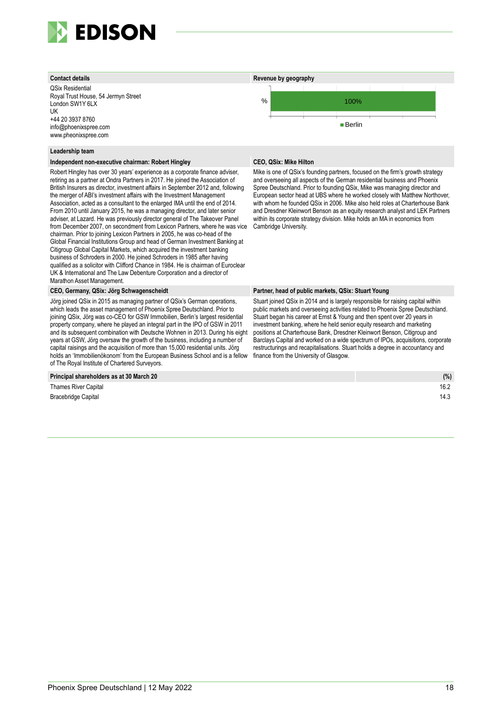

QSix Residential Royal Trust House, 54 Jermyn Street London SW1Y 6LX UK +44 20 3937 8760 info@phoenixspree.com www.pheonixspree.com

#### **Leadership team**

#### **Independent non-executive chairman: Robert Hingley CEO, QSix: Mike Hilton**

Robert Hingley has over 30 years' experience as a corporate finance adviser, retiring as a partner at Ondra Partners in 2017. He joined the Association of British Insurers as director, investment affairs in September 2012 and, following the merger of ABI's investment affairs with the Investment Management Association, acted as a consultant to the enlarged IMA until the end of 2014. From 2010 until January 2015, he was a managing director, and later senior adviser, at Lazard. He was previously director general of The Takeover Panel from December 2007, on secondment from Lexicon Partners, where he was vice chairman. Prior to joining Lexicon Partners in 2005, he was co-head of the Global Financial Institutions Group and head of German Investment Banking at Citigroup Global Capital Markets, which acquired the investment banking business of Schroders in 2000. He joined Schroders in 1985 after having qualified as a solicitor with Clifford Chance in 1984. He is chairman of Euroclear UK & International and The Law Debenture Corporation and a director of Marathon Asset Management.

Jörg joined QSix in 2015 as managing partner of QSix's German operations, which leads the asset management of Phoenix Spree Deutschland. Prior to joining QSix, Jörg was co-CEO for GSW Immobilien, Berlin's largest residential property company, where he played an integral part in the IPO of GSW in 2011 and its subsequent combination with Deutsche Wohnen in 2013. During his eight years at GSW, Jörg oversaw the growth of the business, including a number of capital raisings and the acquisition of more than 15,000 residential units. Jörg holds an 'Immobilienökonom' from the European Business School and is a fellow of The Royal Institute of Chartered Surveyors.

#### **Principal shareholders as at 30 March 20**

**Thames River Capital Bracebridge Capital** 



Mike is one of QSix's founding partners, focused on the firm's growth strategy and overseeing all aspects of the German residential business and Phoenix Spree Deutschland. Prior to founding QSix, Mike was managing director and European sector head at UBS where he worked closely with Matthew Northover, with whom he founded QSix in 2006. Mike also held roles at Charterhouse Bank and Dresdner Kleinwort Benson as an equity research analyst and LEK Partners within its corporate strategy division. Mike holds an MA in economics from Cambridge University.

#### **CEO, Germany, QSix: Jörg Schwagenscheidt Partner, head of public markets, QSix: Stuart Young**

Stuart joined QSix in 2014 and is largely responsible for raising capital within public markets and overseeing activities related to Phoenix Spree Deutschland. Stuart began his career at Ernst & Young and then spent over 20 years in investment banking, where he held senior equity research and marketing positions at Charterhouse Bank, Dresdner Kleinwort Benson, Citigroup and Barclays Capital and worked on a wide spectrum of IPOs, acquisitions, corporate restructurings and recapitalisations. Stuart holds a degree in accountancy and finance from the University of Glasgow.

| (%)  |
|------|
| 16.2 |
| 14.3 |